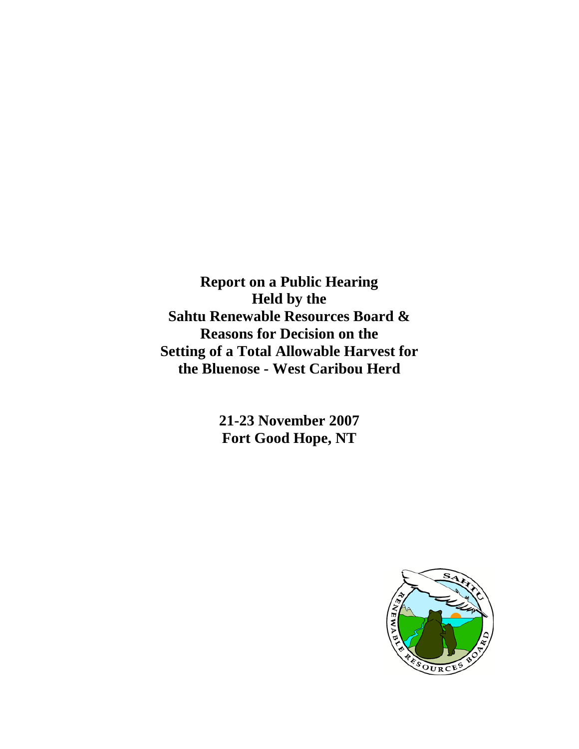**Report on a Public Hearing Held by the Sahtu Renewable Resources Board & Reasons for Decision on the Setting of a Total Allowable Harvest for the Bluenose - West Caribou Herd**

> **21-23 November 2007 Fort Good Hope, NT**

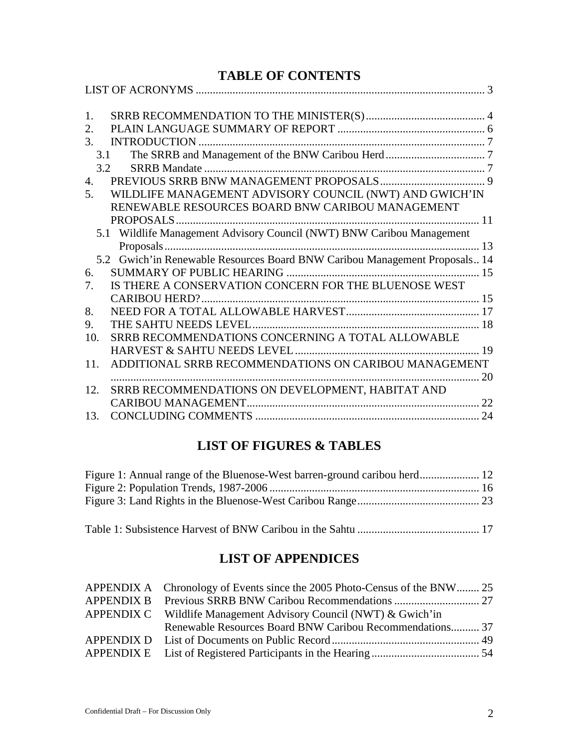## **TABLE OF CONTENTS**

| 1.               |                                                                            |    |
|------------------|----------------------------------------------------------------------------|----|
| 2.               |                                                                            |    |
| 3.               |                                                                            |    |
|                  | 3.1                                                                        |    |
|                  | 3.2                                                                        |    |
| $\overline{4}$ . |                                                                            |    |
| 5.               | WILDLIFE MANAGEMENT ADVISORY COUNCIL (NWT) AND GWICH'IN                    |    |
|                  | RENEWABLE RESOURCES BOARD BNW CARIBOU MANAGEMENT                           |    |
|                  | PROPOSALS.                                                                 |    |
|                  | 5.1 Wildlife Management Advisory Council (NWT) BNW Caribou Management      |    |
|                  |                                                                            |    |
|                  | 5.2 Gwich'in Renewable Resources Board BNW Caribou Management Proposals 14 |    |
| 6.               |                                                                            |    |
| 7.               | IS THERE A CONSERVATION CONCERN FOR THE BLUENOSE WEST                      |    |
|                  |                                                                            |    |
| 8.               |                                                                            |    |
| 9.               |                                                                            |    |
| 10.              | SRRB RECOMMENDATIONS CONCERNING A TOTAL ALLOWABLE                          |    |
|                  |                                                                            |    |
| 11.              | ADDITIONAL SRRB RECOMMENDATIONS ON CARIBOU MANAGEMENT                      |    |
|                  |                                                                            | 20 |
| 12.              | SRRB RECOMMENDATIONS ON DEVELOPMENT, HABITAT AND                           |    |
|                  |                                                                            |    |
| 13.              |                                                                            | 24 |
|                  |                                                                            |    |

# **LIST OF FIGURES & TABLES**

Table 1: [Subsistence Harvest of BNW Caribou in the Sahtu](#page-16-1) ........................................... 17

# **LIST OF APPENDICES**

| APPENDIX A Chronology of Events since the 2005 Photo-Census of the BNW 25 |  |
|---------------------------------------------------------------------------|--|
|                                                                           |  |
| APPENDIX C Wildlife Management Advisory Council (NWT) & Gwich'in          |  |
| Renewable Resources Board BNW Caribou Recommendations 37                  |  |
|                                                                           |  |
|                                                                           |  |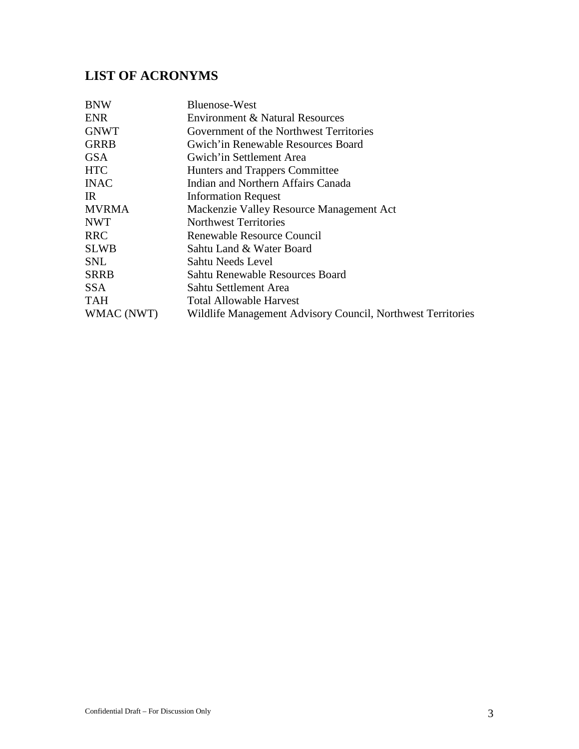# <span id="page-2-0"></span>**LIST OF ACRONYMS**

| <b>BNW</b>   | Bluenose-West                                               |
|--------------|-------------------------------------------------------------|
| <b>ENR</b>   | Environment & Natural Resources                             |
| <b>GNWT</b>  | Government of the Northwest Territories                     |
| <b>GRRB</b>  | Gwich'in Renewable Resources Board                          |
| <b>GSA</b>   | Gwich'in Settlement Area                                    |
| <b>HTC</b>   | Hunters and Trappers Committee                              |
| <b>INAC</b>  | Indian and Northern Affairs Canada                          |
| IR           | <b>Information Request</b>                                  |
| <b>MVRMA</b> | Mackenzie Valley Resource Management Act                    |
| <b>NWT</b>   | <b>Northwest Territories</b>                                |
| <b>RRC</b>   | Renewable Resource Council                                  |
| <b>SLWB</b>  | Sahtu Land & Water Board                                    |
| SNL          | Sahtu Needs Level                                           |
| <b>SRRB</b>  | Sahtu Renewable Resources Board                             |
| <b>SSA</b>   | Sahtu Settlement Area                                       |
| <b>TAH</b>   | <b>Total Allowable Harvest</b>                              |
| WMAC (NWT)   | Wildlife Management Advisory Council, Northwest Territories |
|              |                                                             |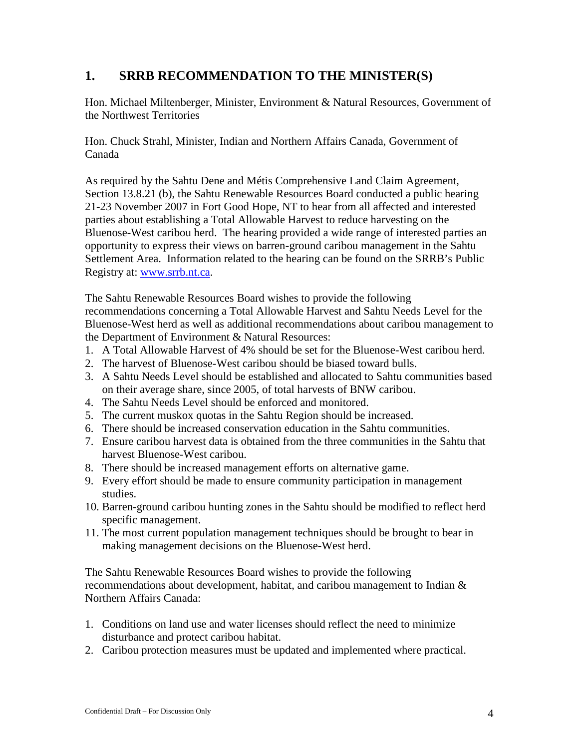### <span id="page-3-0"></span>**1. SRRB RECOMMENDATION TO THE MINISTER(S)**

Hon. Michael Miltenberger, Minister, Environment & Natural Resources, Government of the Northwest Territories

Hon. Chuck Strahl, Minister, Indian and Northern Affairs Canada, Government of Canada

As required by the Sahtu Dene and Métis Comprehensive Land Claim Agreement, Section 13.8.21 (b), the Sahtu Renewable Resources Board conducted a public hearing 21-23 November 2007 in Fort Good Hope, NT to hear from all affected and interested parties about establishing a Total Allowable Harvest to reduce harvesting on the Bluenose-West caribou herd. The hearing provided a wide range of interested parties an opportunity to express their views on barren-ground caribou management in the Sahtu Settlement Area. Information related to the hearing can be found on the SRRB's Public Registry at: [www.srrb.nt.ca.](http://www.srrb.nt.ca/)

The Sahtu Renewable Resources Board wishes to provide the following recommendations concerning a Total Allowable Harvest and Sahtu Needs Level for the Bluenose-West herd as well as additional recommendations about caribou management to the Department of Environment & Natural Resources:

- 1. A Total Allowable Harvest of 4% should be set for the Bluenose-West caribou herd.
- 2. The harvest of Bluenose-West caribou should be biased toward bulls.
- 3. A Sahtu Needs Level should be established and allocated to Sahtu communities based on their average share, since 2005, of total harvests of BNW caribou.
- 4. The Sahtu Needs Level should be enforced and monitored.
- 5. The current muskox quotas in the Sahtu Region should be increased.
- 6. There should be increased conservation education in the Sahtu communities.
- 7. Ensure caribou harvest data is obtained from the three communities in the Sahtu that harvest Bluenose-West caribou.
- 8. There should be increased management efforts on alternative game.
- 9. Every effort should be made to ensure community participation in management studies.
- 10. Barren-ground caribou hunting zones in the Sahtu should be modified to reflect herd specific management.
- 11. The most current population management techniques should be brought to bear in making management decisions on the Bluenose-West herd.

The Sahtu Renewable Resources Board wishes to provide the following recommendations about development, habitat, and caribou management to Indian & Northern Affairs Canada:

- 1. Conditions on land use and water licenses should reflect the need to minimize disturbance and protect caribou habitat.
- 2. Caribou protection measures must be updated and implemented where practical.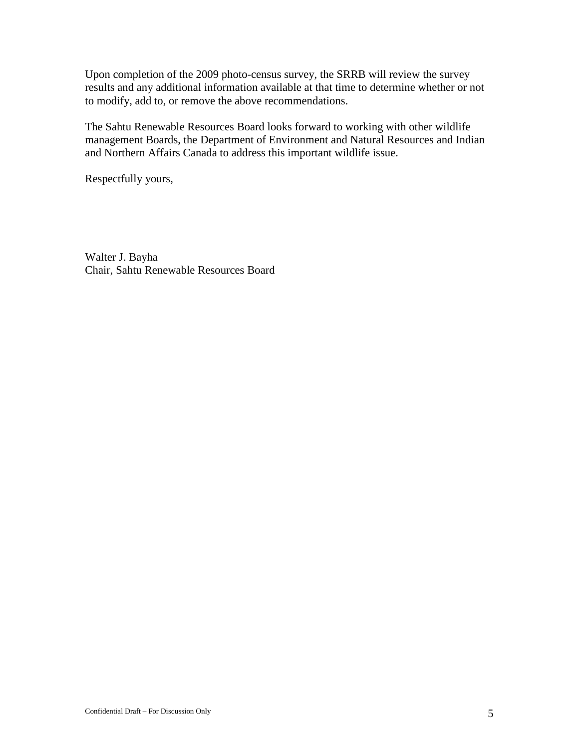Upon completion of the 2009 photo-census survey, the SRRB will review the survey results and any additional information available at that time to determine whether or not to modify, add to, or remove the above recommendations.

The Sahtu Renewable Resources Board looks forward to working with other wildlife management Boards, the Department of Environment and Natural Resources and Indian and Northern Affairs Canada to address this important wildlife issue.

Respectfully yours,

Walter J. Bayha Chair, Sahtu Renewable Resources Board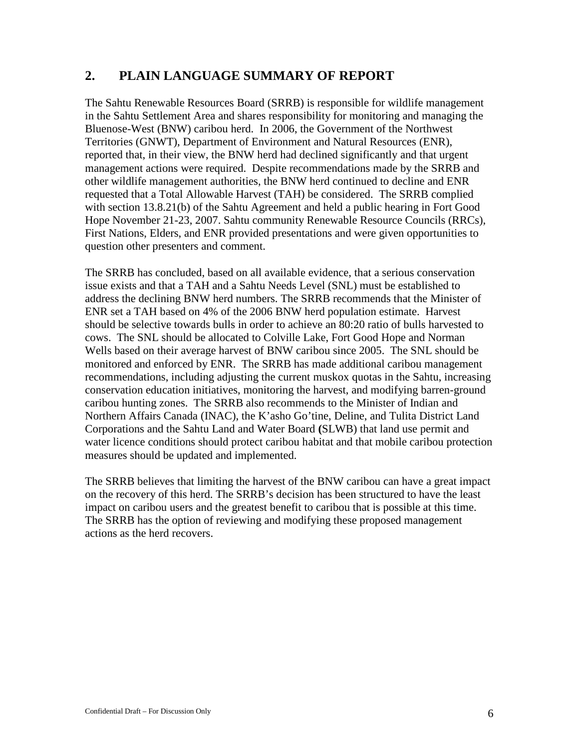### <span id="page-5-0"></span>**2. PLAIN LANGUAGE SUMMARY OF REPORT**

The Sahtu Renewable Resources Board (SRRB) is responsible for wildlife management in the Sahtu Settlement Area and shares responsibility for monitoring and managing the Bluenose-West (BNW) caribou herd. In 2006, the Government of the Northwest Territories (GNWT), Department of Environment and Natural Resources (ENR), reported that, in their view, the BNW herd had declined significantly and that urgent management actions were required. Despite recommendations made by the SRRB and other wildlife management authorities, the BNW herd continued to decline and ENR requested that a Total Allowable Harvest (TAH) be considered. The SRRB complied with section 13.8.21(b) of the Sahtu Agreement and held a public hearing in Fort Good Hope November 21-23, 2007. Sahtu community Renewable Resource Councils (RRCs), First Nations, Elders, and ENR provided presentations and were given opportunities to question other presenters and comment.

The SRRB has concluded, based on all available evidence, that a serious conservation issue exists and that a TAH and a Sahtu Needs Level (SNL) must be established to address the declining BNW herd numbers. The SRRB recommends that the Minister of ENR set a TAH based on 4% of the 2006 BNW herd population estimate. Harvest should be selective towards bulls in order to achieve an 80:20 ratio of bulls harvested to cows. The SNL should be allocated to Colville Lake, Fort Good Hope and Norman Wells based on their average harvest of BNW caribou since 2005. The SNL should be monitored and enforced by ENR. The SRRB has made additional caribou management recommendations, including adjusting the current muskox quotas in the Sahtu, increasing conservation education initiatives, monitoring the harvest, and modifying barren-ground caribou hunting zones. The SRRB also recommends to the Minister of Indian and Northern Affairs Canada (INAC), the K'asho Go'tine, Deline, and Tulita District Land Corporations and the Sahtu Land and Water Board **(**SLWB) that land use permit and water licence conditions should protect caribou habitat and that mobile caribou protection measures should be updated and implemented.

The SRRB believes that limiting the harvest of the BNW caribou can have a great impact on the recovery of this herd. The SRRB's decision has been structured to have the least impact on caribou users and the greatest benefit to caribou that is possible at this time. The SRRB has the option of reviewing and modifying these proposed management actions as the herd recovers.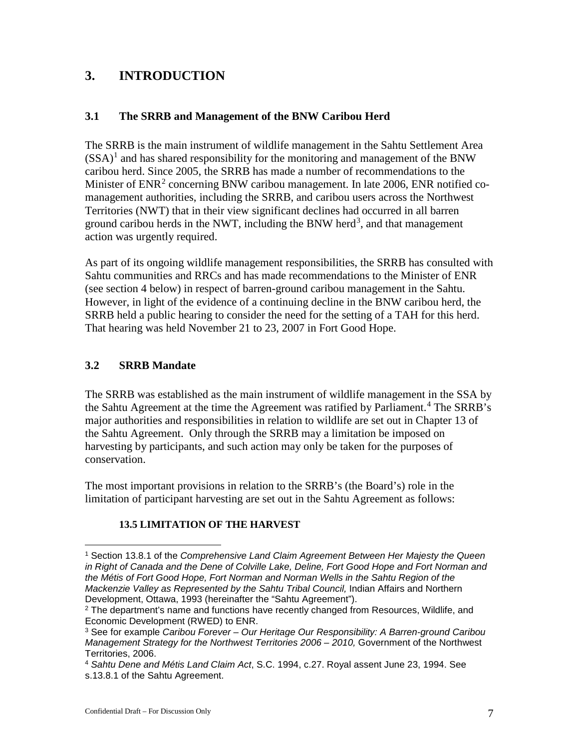## <span id="page-6-0"></span>**3. INTRODUCTION**

#### <span id="page-6-1"></span>**3.1 The SRRB and Management of the BNW Caribou Herd**

The SRRB is the main instrument of wildlife management in the Sahtu Settlement Area  $(SSA)^1$  $(SSA)^1$  and has shared responsibility for the monitoring and management of the BNW caribou herd. Since 2005, the SRRB has made a number of recommendations to the Minister of  $ENR<sup>2</sup>$  $ENR<sup>2</sup>$  $ENR<sup>2</sup>$  concerning BNW caribou management. In late 2006, ENR notified comanagement authorities, including the SRRB, and caribou users across the Northwest Territories (NWT) that in their view significant declines had occurred in all barren ground caribou herds in the NWT, including the BNW herd<sup>[3](#page-6-5)</sup>, and that management action was urgently required.

As part of its ongoing wildlife management responsibilities, the SRRB has consulted with Sahtu communities and RRCs and has made recommendations to the Minister of ENR (see section 4 below) in respect of barren-ground caribou management in the Sahtu. However, in light of the evidence of a continuing decline in the BNW caribou herd, the SRRB held a public hearing to consider the need for the setting of a TAH for this herd. That hearing was held November 21 to 23, 2007 in Fort Good Hope.

#### <span id="page-6-2"></span>**3.2 SRRB Mandate**

 $\overline{a}$ 

The SRRB was established as the main instrument of wildlife management in the SSA by the Sahtu Agreement at the time the Agreement was ratified by Parliament. [4](#page-6-6) The SRRB's major authorities and responsibilities in relation to wildlife are set out in Chapter 13 of the Sahtu Agreement. Only through the SRRB may a limitation be imposed on harvesting by participants, and such action may only be taken for the purposes of conservation.

The most important provisions in relation to the SRRB's (the Board's) role in the limitation of participant harvesting are set out in the Sahtu Agreement as follows:

#### **13.5 LIMITATION OF THE HARVEST**

<span id="page-6-3"></span><sup>1</sup> Section 13.8.1 of the *Comprehensive Land Claim Agreement Between Her Majesty the Queen in Right of Canada and the Dene of Colville Lake, Deline, Fort Good Hope and Fort Norman and the Métis of Fort Good Hope, Fort Norman and Norman Wells in the Sahtu Region of the Mackenzie Valley as Represented by the Sahtu Tribal Council,* Indian Affairs and Northern Development, Ottawa, 1993 (hereinafter the "Sahtu Agreement").

<span id="page-6-4"></span><sup>&</sup>lt;sup>2</sup> The department's name and functions have recently changed from Resources, Wildlife, and Economic Development (RWED) to ENR.

<span id="page-6-5"></span><sup>3</sup> See for example *Caribou Forever – Our Heritage Our Responsibility: A Barren-ground Caribou Management Strategy for the Northwest Territories 2006 – 2010,* Government of the Northwest Territories, 2006.

<span id="page-6-6"></span><sup>4</sup> *Sahtu Dene and Métis Land Claim Act*, S.C. 1994, c.27. Royal assent June 23, 1994. See s.13.8.1 of the Sahtu Agreement.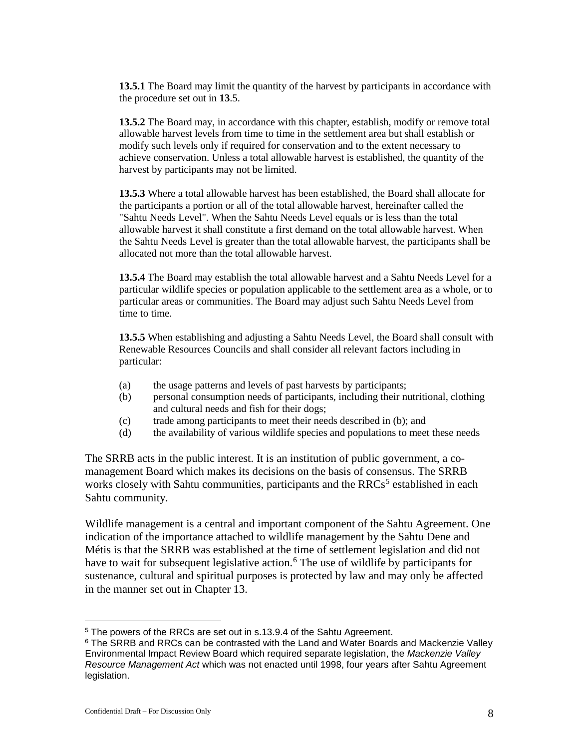**13.5.1** The Board may limit the quantity of the harvest by participants in accordance with the procedure set out in **13**.5.

**13.5.2** The Board may, in accordance with this chapter, establish, modify or remove total allowable harvest levels from time to time in the settlement area but shall establish or modify such levels only if required for conservation and to the extent necessary to achieve conservation. Unless a total allowable harvest is established, the quantity of the harvest by participants may not be limited.

**13.5.3** Where a total allowable harvest has been established, the Board shall allocate for the participants a portion or all of the total allowable harvest, hereinafter called the "Sahtu Needs Level". When the Sahtu Needs Level equals or is less than the total allowable harvest it shall constitute a first demand on the total allowable harvest. When the Sahtu Needs Level is greater than the total allowable harvest, the participants shall be allocated not more than the total allowable harvest.

**13.5.4** The Board may establish the total allowable harvest and a Sahtu Needs Level for a particular wildlife species or population applicable to the settlement area as a whole, or to particular areas or communities. The Board may adjust such Sahtu Needs Level from time to time.

**13.5.5** When establishing and adjusting a Sahtu Needs Level, the Board shall consult with Renewable Resources Councils and shall consider all relevant factors including in particular:

- (a) the usage patterns and levels of past harvests by participants;
- (b) personal consumption needs of participants, including their nutritional, clothing and cultural needs and fish for their dogs;
- (c) trade among participants to meet their needs described in (b); and
- (d) the availability of various wildlife species and populations to meet these needs

The SRRB acts in the public interest. It is an institution of public government, a comanagement Board which makes its decisions on the basis of consensus. The SRRB works closely with Sahtu communities, participants and the RRCs<sup>[5](#page-7-0)</sup> established in each Sahtu community.

Wildlife management is a central and important component of the Sahtu Agreement. One indication of the importance attached to wildlife management by the Sahtu Dene and Métis is that the SRRB was established at the time of settlement legislation and did not have to wait for subsequent legislative action.<sup>[6](#page-7-1)</sup> The use of wildlife by participants for sustenance, cultural and spiritual purposes is protected by law and may only be affected in the manner set out in Chapter 13.

 $\overline{a}$ 

<span id="page-7-0"></span><sup>5</sup> The powers of the RRCs are set out in s.13.9.4 of the Sahtu Agreement.

<span id="page-7-1"></span><sup>&</sup>lt;sup>6</sup> The SRRB and RRCs can be contrasted with the Land and Water Boards and Mackenzie Valley Environmental Impact Review Board which required separate legislation, the *Mackenzie Valley Resource Management Act* which was not enacted until 1998, four years after Sahtu Agreement legislation.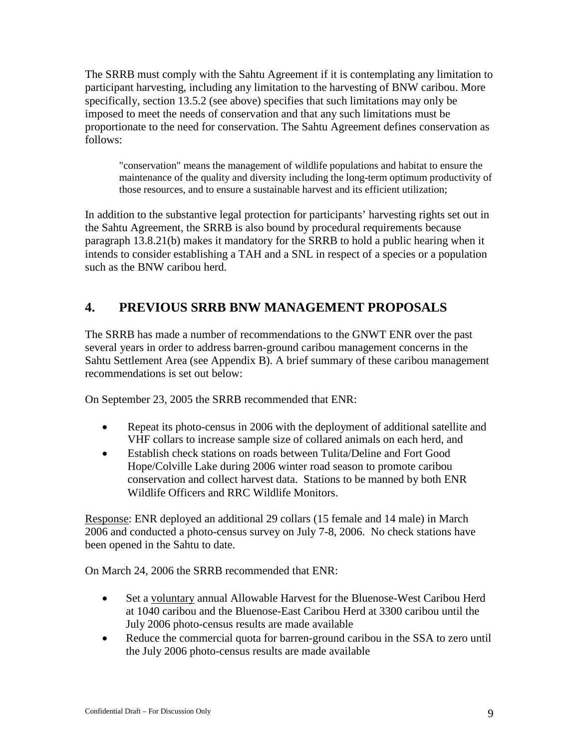The SRRB must comply with the Sahtu Agreement if it is contemplating any limitation to participant harvesting, including any limitation to the harvesting of BNW caribou. More specifically, section 13.5.2 (see above) specifies that such limitations may only be imposed to meet the needs of conservation and that any such limitations must be proportionate to the need for conservation. The Sahtu Agreement defines conservation as follows:

"conservation" means the management of wildlife populations and habitat to ensure the maintenance of the quality and diversity including the long-term optimum productivity of those resources, and to ensure a sustainable harvest and its efficient utilization;

In addition to the substantive legal protection for participants' harvesting rights set out in the Sahtu Agreement, the SRRB is also bound by procedural requirements because paragraph 13.8.21(b) makes it mandatory for the SRRB to hold a public hearing when it intends to consider establishing a TAH and a SNL in respect of a species or a population such as the BNW caribou herd.

# <span id="page-8-0"></span>**4. PREVIOUS SRRB BNW MANAGEMENT PROPOSALS**

The SRRB has made a number of recommendations to the GNWT ENR over the past several years in order to address barren-ground caribou management concerns in the Sahtu Settlement Area (see Appendix B). A brief summary of these caribou management recommendations is set out below:

On September 23, 2005 the SRRB recommended that ENR:

- Repeat its photo-census in 2006 with the deployment of additional satellite and VHF collars to increase sample size of collared animals on each herd, and
- Establish check stations on roads between Tulita/Deline and Fort Good Hope/Colville Lake during 2006 winter road season to promote caribou conservation and collect harvest data. Stations to be manned by both ENR Wildlife Officers and RRC Wildlife Monitors.

Response: ENR deployed an additional 29 collars (15 female and 14 male) in March 2006 and conducted a photo-census survey on July 7-8, 2006. No check stations have been opened in the Sahtu to date.

On March 24, 2006 the SRRB recommended that ENR:

- Set a voluntary annual Allowable Harvest for the Bluenose-West Caribou Herd at 1040 caribou and the Bluenose-East Caribou Herd at 3300 caribou until the July 2006 photo-census results are made available
- Reduce the commercial quota for barren-ground caribou in the SSA to zero until the July 2006 photo-census results are made available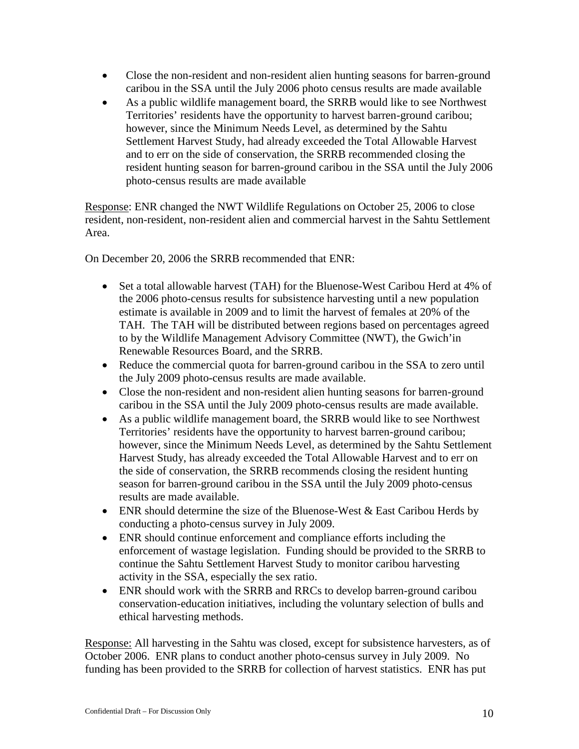- Close the non-resident and non-resident alien hunting seasons for barren-ground caribou in the SSA until the July 2006 photo census results are made available
- As a public wildlife management board, the SRRB would like to see Northwest Territories' residents have the opportunity to harvest barren-ground caribou; however, since the Minimum Needs Level, as determined by the Sahtu Settlement Harvest Study, had already exceeded the Total Allowable Harvest and to err on the side of conservation, the SRRB recommended closing the resident hunting season for barren-ground caribou in the SSA until the July 2006 photo-census results are made available

Response: ENR changed the NWT Wildlife Regulations on October 25, 2006 to close resident, non-resident, non-resident alien and commercial harvest in the Sahtu Settlement Area.

On December 20, 2006 the SRRB recommended that ENR:

- Set a total allowable harvest (TAH) for the Bluenose-West Caribou Herd at 4% of the 2006 photo-census results for subsistence harvesting until a new population estimate is available in 2009 and to limit the harvest of females at 20% of the TAH. The TAH will be distributed between regions based on percentages agreed to by the Wildlife Management Advisory Committee (NWT), the Gwich'in Renewable Resources Board, and the SRRB.
- Reduce the commercial quota for barren-ground caribou in the SSA to zero until the July 2009 photo-census results are made available.
- Close the non-resident and non-resident alien hunting seasons for barren-ground caribou in the SSA until the July 2009 photo-census results are made available.
- As a public wildlife management board, the SRRB would like to see Northwest Territories' residents have the opportunity to harvest barren-ground caribou; however, since the Minimum Needs Level, as determined by the Sahtu Settlement Harvest Study, has already exceeded the Total Allowable Harvest and to err on the side of conservation, the SRRB recommends closing the resident hunting season for barren-ground caribou in the SSA until the July 2009 photo-census results are made available.
- ENR should determine the size of the Bluenose-West & East Caribou Herds by conducting a photo-census survey in July 2009.
- ENR should continue enforcement and compliance efforts including the enforcement of wastage legislation. Funding should be provided to the SRRB to continue the Sahtu Settlement Harvest Study to monitor caribou harvesting activity in the SSA, especially the sex ratio.
- ENR should work with the SRRB and RRCs to develop barren-ground caribou conservation-education initiatives, including the voluntary selection of bulls and ethical harvesting methods.

Response: All harvesting in the Sahtu was closed, except for subsistence harvesters, as of October 2006. ENR plans to conduct another photo-census survey in July 2009. No funding has been provided to the SRRB for collection of harvest statistics. ENR has put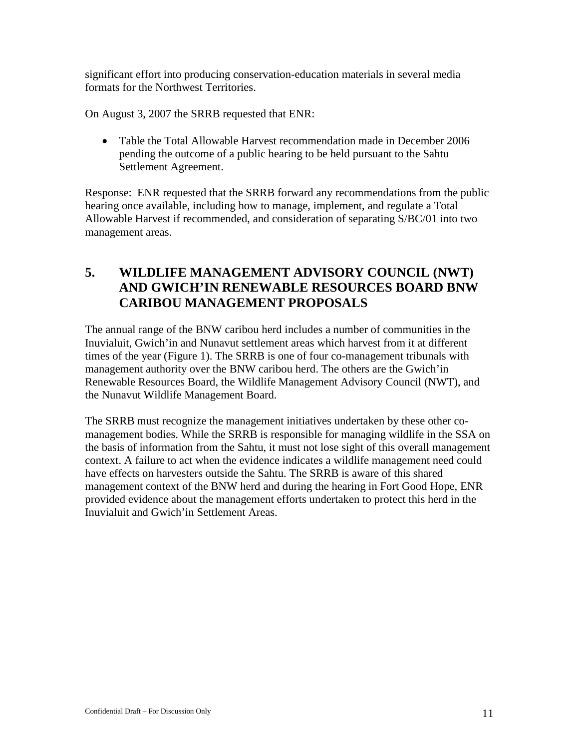significant effort into producing conservation-education materials in several media formats for the Northwest Territories.

On August 3, 2007 the SRRB requested that ENR:

• Table the Total Allowable Harvest recommendation made in December 2006 pending the outcome of a public hearing to be held pursuant to the Sahtu Settlement Agreement.

Response: ENR requested that the SRRB forward any recommendations from the public hearing once available, including how to manage, implement, and regulate a Total Allowable Harvest if recommended, and consideration of separating S/BC/01 into two management areas.

## <span id="page-10-0"></span>**5. WILDLIFE MANAGEMENT ADVISORY COUNCIL (NWT) AND GWICH'IN RENEWABLE RESOURCES BOARD BNW CARIBOU MANAGEMENT PROPOSALS**

The annual range of the BNW caribou herd includes a number of communities in the Inuvialuit, Gwich'in and Nunavut settlement areas which harvest from it at different times of the year (Figure 1). The SRRB is one of four co-management tribunals with management authority over the BNW caribou herd. The others are the Gwich'in Renewable Resources Board, the Wildlife Management Advisory Council (NWT), and the Nunavut Wildlife Management Board.

The SRRB must recognize the management initiatives undertaken by these other comanagement bodies. While the SRRB is responsible for managing wildlife in the SSA on the basis of information from the Sahtu, it must not lose sight of this overall management context. A failure to act when the evidence indicates a wildlife management need could have effects on harvesters outside the Sahtu. The SRRB is aware of this shared management context of the BNW herd and during the hearing in Fort Good Hope, ENR provided evidence about the management efforts undertaken to protect this herd in the Inuvialuit and Gwich'in Settlement Areas.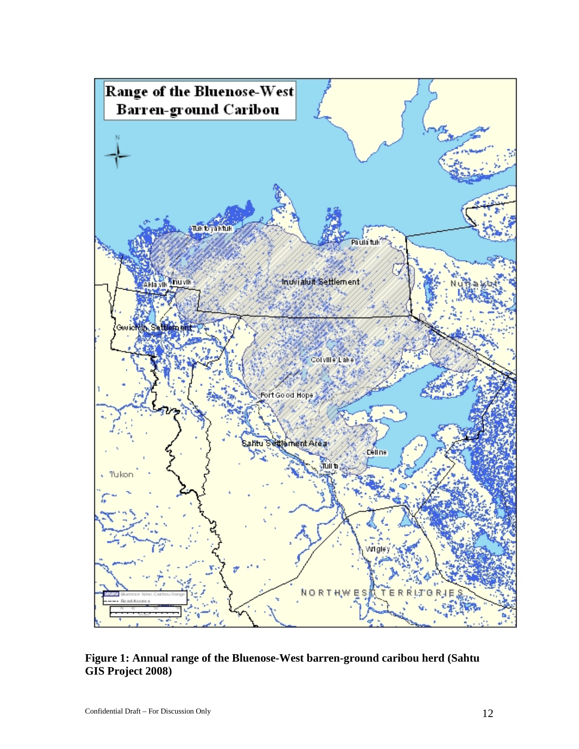

<span id="page-11-0"></span>**Figure 1: Annual range of the Bluenose-West barren-ground caribou herd (Sahtu GIS Project 2008)**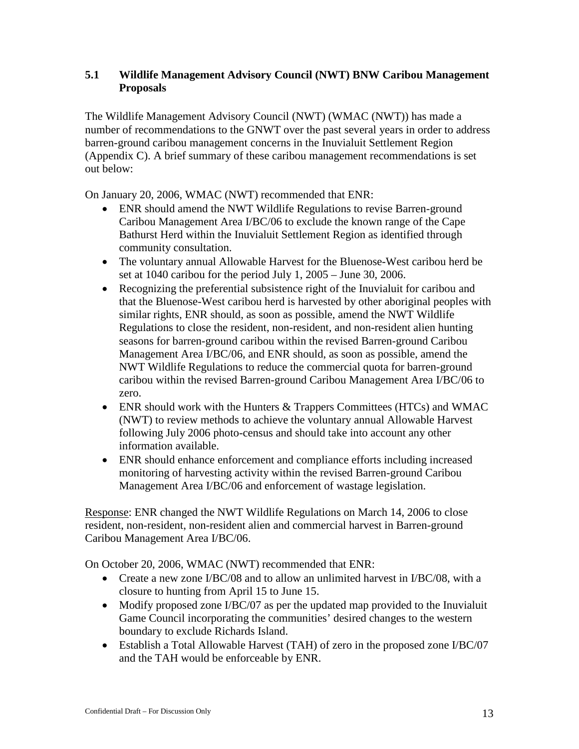### <span id="page-12-0"></span>**5.1 Wildlife Management Advisory Council (NWT) BNW Caribou Management Proposals**

The Wildlife Management Advisory Council (NWT) (WMAC (NWT)) has made a number of recommendations to the GNWT over the past several years in order to address barren-ground caribou management concerns in the Inuvialuit Settlement Region (Appendix C). A brief summary of these caribou management recommendations is set out below:

On January 20, 2006, WMAC (NWT) recommended that ENR:

- ENR should amend the NWT Wildlife Regulations to revise Barren-ground Caribou Management Area I/BC/06 to exclude the known range of the Cape Bathurst Herd within the Inuvialuit Settlement Region as identified through community consultation.
- The voluntary annual Allowable Harvest for the Bluenose-West caribou herd be set at 1040 caribou for the period July 1, 2005 – June 30, 2006.
- Recognizing the preferential subsistence right of the Inuvialuit for caribou and that the Bluenose-West caribou herd is harvested by other aboriginal peoples with similar rights, ENR should, as soon as possible, amend the NWT Wildlife Regulations to close the resident, non-resident, and non-resident alien hunting seasons for barren-ground caribou within the revised Barren-ground Caribou Management Area I/BC/06, and ENR should, as soon as possible, amend the NWT Wildlife Regulations to reduce the commercial quota for barren-ground caribou within the revised Barren-ground Caribou Management Area I/BC/06 to zero.
- ENR should work with the Hunters & Trappers Committees (HTCs) and WMAC (NWT) to review methods to achieve the voluntary annual Allowable Harvest following July 2006 photo-census and should take into account any other information available.
- ENR should enhance enforcement and compliance efforts including increased monitoring of harvesting activity within the revised Barren-ground Caribou Management Area I/BC/06 and enforcement of wastage legislation.

Response: ENR changed the NWT Wildlife Regulations on March 14, 2006 to close resident, non-resident, non-resident alien and commercial harvest in Barren-ground Caribou Management Area I/BC/06.

On October 20, 2006, WMAC (NWT) recommended that ENR:

- Create a new zone I/BC/08 and to allow an unlimited harvest in I/BC/08, with a closure to hunting from April 15 to June 15.
- Modify proposed zone I/BC/07 as per the updated map provided to the Inuvialuit Game Council incorporating the communities' desired changes to the western boundary to exclude Richards Island.
- Establish a Total Allowable Harvest (TAH) of zero in the proposed zone I/BC/07 and the TAH would be enforceable by ENR.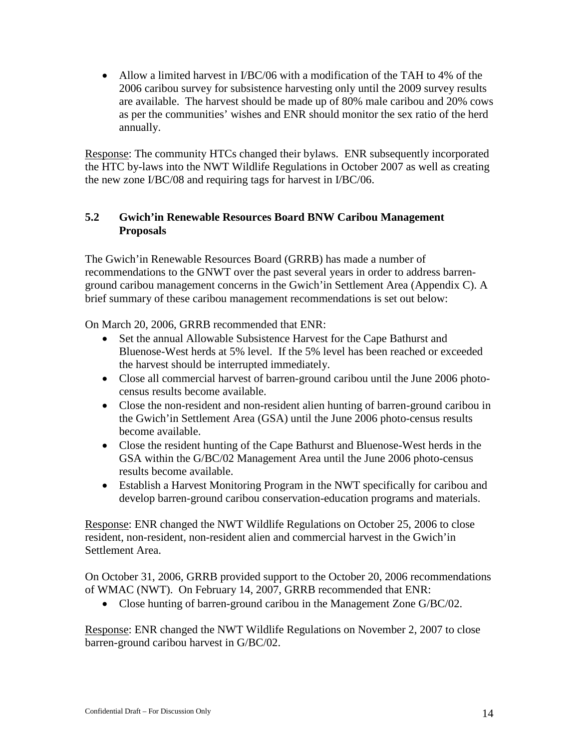• Allow a limited harvest in *I/BC/06* with a modification of the TAH to 4% of the 2006 caribou survey for subsistence harvesting only until the 2009 survey results are available. The harvest should be made up of 80% male caribou and 20% cows as per the communities' wishes and ENR should monitor the sex ratio of the herd annually.

Response: The community HTCs changed their bylaws. ENR subsequently incorporated the HTC by-laws into the NWT Wildlife Regulations in October 2007 as well as creating the new zone I/BC/08 and requiring tags for harvest in I/BC/06.

### <span id="page-13-0"></span>**5.2 Gwich'in Renewable Resources Board BNW Caribou Management Proposals**

The Gwich'in Renewable Resources Board (GRRB) has made a number of recommendations to the GNWT over the past several years in order to address barrenground caribou management concerns in the Gwich'in Settlement Area (Appendix C). A brief summary of these caribou management recommendations is set out below:

On March 20, 2006, GRRB recommended that ENR:

- Set the annual Allowable Subsistence Harvest for the Cape Bathurst and Bluenose-West herds at 5% level. If the 5% level has been reached or exceeded the harvest should be interrupted immediately.
- Close all commercial harvest of barren-ground caribou until the June 2006 photocensus results become available.
- Close the non-resident and non-resident alien hunting of barren-ground caribou in the Gwich'in Settlement Area (GSA) until the June 2006 photo-census results become available.
- Close the resident hunting of the Cape Bathurst and Bluenose-West herds in the GSA within the G/BC/02 Management Area until the June 2006 photo-census results become available.
- Establish a Harvest Monitoring Program in the NWT specifically for caribou and develop barren-ground caribou conservation-education programs and materials.

Response: ENR changed the NWT Wildlife Regulations on October 25, 2006 to close resident, non-resident, non-resident alien and commercial harvest in the Gwich'in Settlement Area.

On October 31, 2006, GRRB provided support to the October 20, 2006 recommendations of WMAC (NWT). On February 14, 2007, GRRB recommended that ENR:

• Close hunting of barren-ground caribou in the Management Zone G/BC/02.

Response: ENR changed the NWT Wildlife Regulations on November 2, 2007 to close barren-ground caribou harvest in G/BC/02.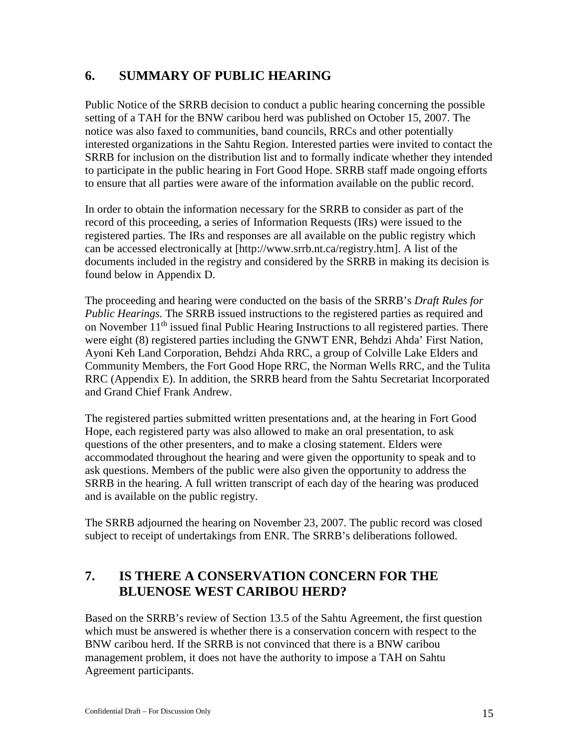## <span id="page-14-0"></span>**6. SUMMARY OF PUBLIC HEARING**

Public Notice of the SRRB decision to conduct a public hearing concerning the possible setting of a TAH for the BNW caribou herd was published on October 15, 2007. The notice was also faxed to communities, band councils, RRCs and other potentially interested organizations in the Sahtu Region. Interested parties were invited to contact the SRRB for inclusion on the distribution list and to formally indicate whether they intended to participate in the public hearing in Fort Good Hope. SRRB staff made ongoing efforts to ensure that all parties were aware of the information available on the public record.

In order to obtain the information necessary for the SRRB to consider as part of the record of this proceeding, a series of Information Requests (IRs) were issued to the registered parties. The IRs and responses are all available on the public registry which can be accessed electronically at [http://www.srrb.nt.ca/registry.htm]. A list of the documents included in the registry and considered by the SRRB in making its decision is found below in Appendix D.

The proceeding and hearing were conducted on the basis of the SRRB's *Draft Rules for Public Hearings.* The SRRB issued instructions to the registered parties as required and on November  $11<sup>th</sup>$  issued final Public Hearing Instructions to all registered parties. There were eight (8) registered parties including the GNWT ENR, Behdzi Ahda' First Nation, Ayoni Keh Land Corporation, Behdzi Ahda RRC, a group of Colville Lake Elders and Community Members, the Fort Good Hope RRC, the Norman Wells RRC, and the Tulita RRC (Appendix E). In addition, the SRRB heard from the Sahtu Secretariat Incorporated and Grand Chief Frank Andrew.

The registered parties submitted written presentations and, at the hearing in Fort Good Hope, each registered party was also allowed to make an oral presentation, to ask questions of the other presenters, and to make a closing statement. Elders were accommodated throughout the hearing and were given the opportunity to speak and to ask questions. Members of the public were also given the opportunity to address the SRRB in the hearing. A full written transcript of each day of the hearing was produced and is available on the public registry.

The SRRB adjourned the hearing on November 23, 2007. The public record was closed subject to receipt of undertakings from ENR. The SRRB's deliberations followed.

### <span id="page-14-1"></span>**7. IS THERE A CONSERVATION CONCERN FOR THE BLUENOSE WEST CARIBOU HERD?**

Based on the SRRB's review of Section 13.5 of the Sahtu Agreement, the first question which must be answered is whether there is a conservation concern with respect to the BNW caribou herd. If the SRRB is not convinced that there is a BNW caribou management problem, it does not have the authority to impose a TAH on Sahtu Agreement participants.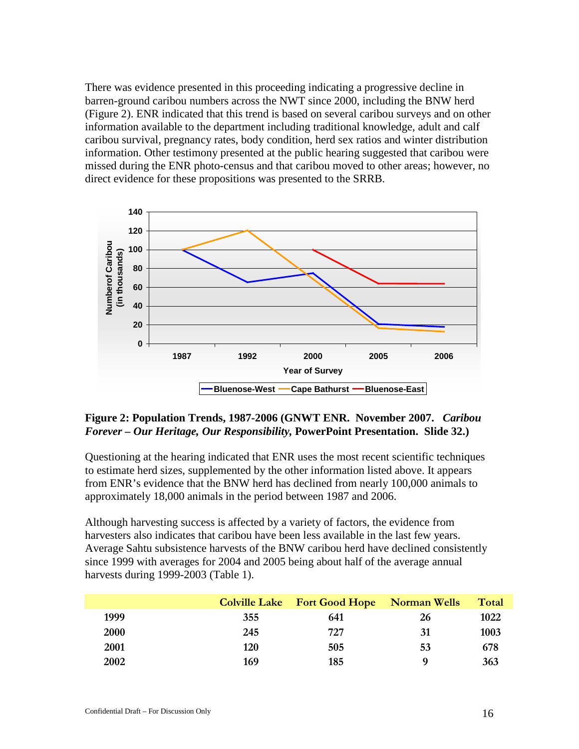There was evidence presented in this proceeding indicating a progressive decline in barren-ground caribou numbers across the NWT since 2000, including the BNW herd (Figure 2). ENR indicated that this trend is based on several caribou surveys and on other information available to the department including traditional knowledge, adult and calf caribou survival, pregnancy rates, body condition, herd sex ratios and winter distribution information. Other testimony presented at the public hearing suggested that caribou were missed during the ENR photo-census and that caribou moved to other areas; however, no direct evidence for these propositions was presented to the SRRB.



#### <span id="page-15-0"></span>**Figure 2: Population Trends, 1987-2006 (GNWT ENR. November 2007.** *Caribou Forever – Our Heritage, Our Responsibility,* **PowerPoint Presentation. Slide 32.)**

Questioning at the hearing indicated that ENR uses the most recent scientific techniques to estimate herd sizes, supplemented by the other information listed above. It appears from ENR's evidence that the BNW herd has declined from nearly 100,000 animals to approximately 18,000 animals in the period between 1987 and 2006.

Although harvesting success is affected by a variety of factors, the evidence from harvesters also indicates that caribou have been less available in the last few years. Average Sahtu subsistence harvests of the BNW caribou herd have declined consistently since 1999 with averages for 2004 and 2005 being about half of the average annual harvests during 1999-2003 (Table 1).

|      |     | <b>Colville Lake Fort Good Hope Norman Wells</b> |    | Total |
|------|-----|--------------------------------------------------|----|-------|
| 1999 | 355 | 641                                              | 26 | 1022  |
| 2000 | 245 | 727                                              | 31 | 1003  |
| 2001 | 120 | 505                                              | 53 | 678   |
| 2002 | 169 | 185                                              | Q  | 363   |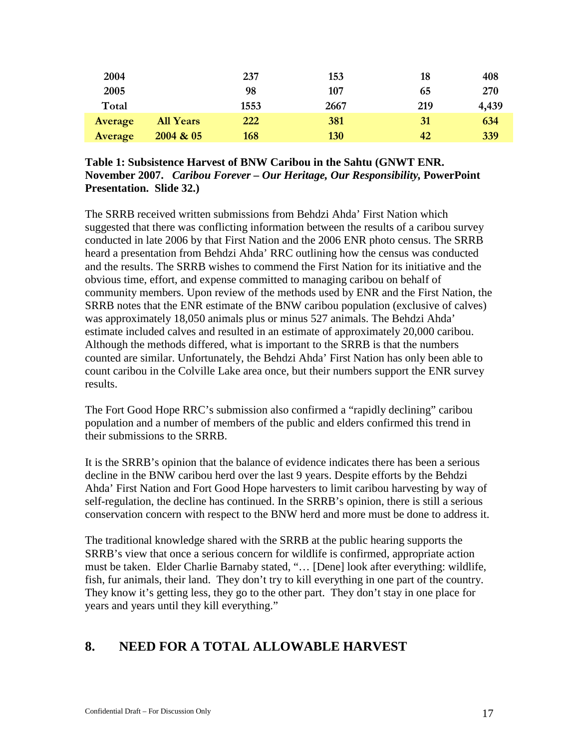| 2004    |                  | 237  | 153  | 18  | 408   |
|---------|------------------|------|------|-----|-------|
| 2005    |                  | 98   | 107  | 65  | 270   |
| Total   |                  | 1553 | 2667 | 219 | 4,439 |
| Average | <b>All Years</b> | 222  | 381  | 31  | 634   |
| Average | 2004 & 05        | 168  | 130  | 42  | 339   |

#### <span id="page-16-1"></span>**Table 1: Subsistence Harvest of BNW Caribou in the Sahtu (GNWT ENR. November 2007.** *Caribou Forever – Our Heritage, Our Responsibility,* **PowerPoint Presentation. Slide 32.)**

The SRRB received written submissions from Behdzi Ahda' First Nation which suggested that there was conflicting information between the results of a caribou survey conducted in late 2006 by that First Nation and the 2006 ENR photo census. The SRRB heard a presentation from Behdzi Ahda' RRC outlining how the census was conducted and the results. The SRRB wishes to commend the First Nation for its initiative and the obvious time, effort, and expense committed to managing caribou on behalf of community members. Upon review of the methods used by ENR and the First Nation, the SRRB notes that the ENR estimate of the BNW caribou population (exclusive of calves) was approximately 18,050 animals plus or minus 527 animals. The Behdzi Ahda' estimate included calves and resulted in an estimate of approximately 20,000 caribou. Although the methods differed, what is important to the SRRB is that the numbers counted are similar. Unfortunately, the Behdzi Ahda' First Nation has only been able to count caribou in the Colville Lake area once, but their numbers support the ENR survey results.

The Fort Good Hope RRC's submission also confirmed a "rapidly declining" caribou population and a number of members of the public and elders confirmed this trend in their submissions to the SRRB.

It is the SRRB's opinion that the balance of evidence indicates there has been a serious decline in the BNW caribou herd over the last 9 years. Despite efforts by the Behdzi Ahda' First Nation and Fort Good Hope harvesters to limit caribou harvesting by way of self-regulation, the decline has continued. In the SRRB's opinion, there is still a serious conservation concern with respect to the BNW herd and more must be done to address it.

The traditional knowledge shared with the SRRB at the public hearing supports the SRRB's view that once a serious concern for wildlife is confirmed, appropriate action must be taken. Elder Charlie Barnaby stated, "… [Dene] look after everything: wildlife, fish, fur animals, their land. They don't try to kill everything in one part of the country. They know it's getting less, they go to the other part. They don't stay in one place for years and years until they kill everything."

# <span id="page-16-0"></span>**8. NEED FOR A TOTAL ALLOWABLE HARVEST**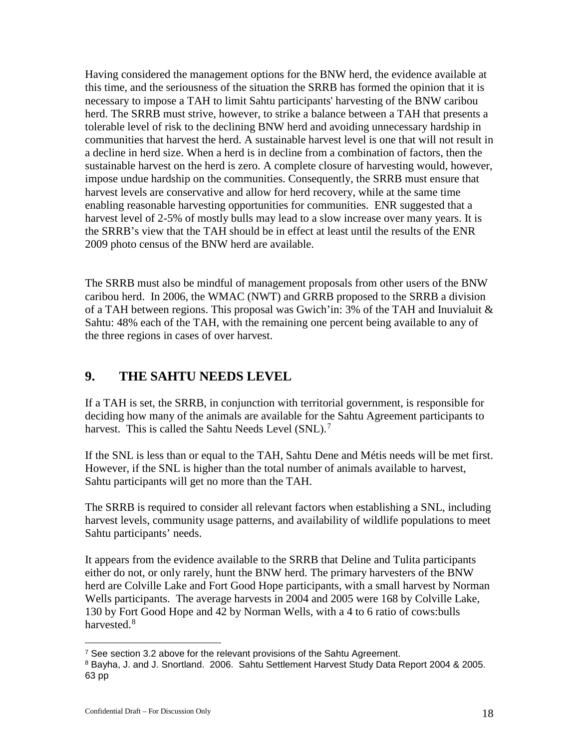Having considered the management options for the BNW herd, the evidence available at this time, and the seriousness of the situation the SRRB has formed the opinion that it is necessary to impose a TAH to limit Sahtu participants' harvesting of the BNW caribou herd. The SRRB must strive, however, to strike a balance between a TAH that presents a tolerable level of risk to the declining BNW herd and avoiding unnecessary hardship in communities that harvest the herd. A sustainable harvest level is one that will not result in a decline in herd size. When a herd is in decline from a combination of factors, then the sustainable harvest on the herd is zero. A complete closure of harvesting would, however, impose undue hardship on the communities. Consequently, the SRRB must ensure that harvest levels are conservative and allow for herd recovery, while at the same time enabling reasonable harvesting opportunities for communities. ENR suggested that a harvest level of 2-5% of mostly bulls may lead to a slow increase over many years. It is the SRRB's view that the TAH should be in effect at least until the results of the ENR 2009 photo census of the BNW herd are available.

The SRRB must also be mindful of management proposals from other users of the BNW caribou herd. In 2006, the WMAC (NWT) and GRRB proposed to the SRRB a division of a TAH between regions. This proposal was Gwich'in: 3% of the TAH and Inuvialuit & Sahtu: 48% each of the TAH, with the remaining one percent being available to any of the three regions in cases of over harvest.

## <span id="page-17-0"></span>**9. THE SAHTU NEEDS LEVEL**

If a TAH is set, the SRRB, in conjunction with territorial government, is responsible for deciding how many of the animals are available for the Sahtu Agreement participants to harvest. This is called the Sahtu Needs Level (SNL).<sup>[7](#page-17-1)</sup>

If the SNL is less than or equal to the TAH, Sahtu Dene and Métis needs will be met first. However, if the SNL is higher than the total number of animals available to harvest, Sahtu participants will get no more than the TAH.

The SRRB is required to consider all relevant factors when establishing a SNL, including harvest levels, community usage patterns, and availability of wildlife populations to meet Sahtu participants' needs.

It appears from the evidence available to the SRRB that Deline and Tulita participants either do not, or only rarely, hunt the BNW herd. The primary harvesters of the BNW herd are Colville Lake and Fort Good Hope participants, with a small harvest by Norman Wells participants. The average harvests in 2004 and 2005 were 168 by Colville Lake, 130 by Fort Good Hope and 42 by Norman Wells, with a 4 to 6 ratio of cows:bulls harvested.<sup>[8](#page-17-2)</sup>

 $7$  See section 3.2 above for the relevant provisions of the Sahtu Agreement.  $\overline{a}$ 

<span id="page-17-2"></span><span id="page-17-1"></span><sup>&</sup>lt;sup>8</sup> Bayha, J. and J. Snortland. 2006. Sahtu Settlement Harvest Study Data Report 2004 & 2005. 63 pp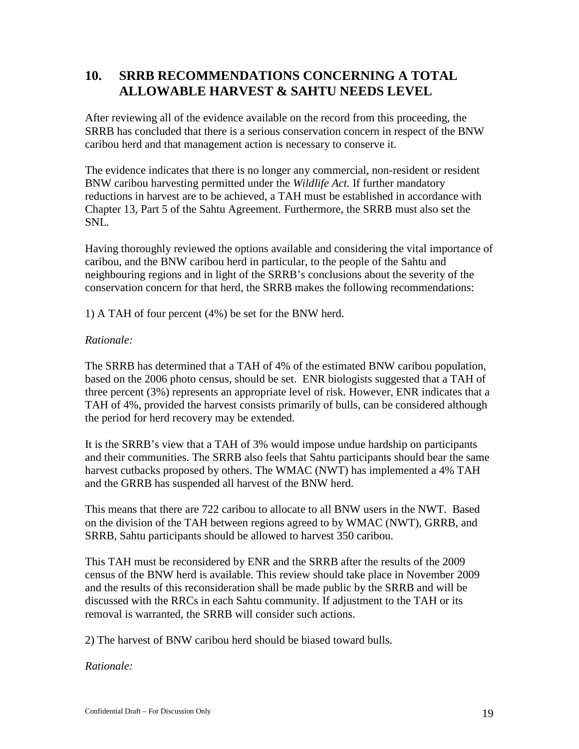## <span id="page-18-0"></span>**10. SRRB RECOMMENDATIONS CONCERNING A TOTAL ALLOWABLE HARVEST & SAHTU NEEDS LEVEL**

After reviewing all of the evidence available on the record from this proceeding, the SRRB has concluded that there is a serious conservation concern in respect of the BNW caribou herd and that management action is necessary to conserve it.

The evidence indicates that there is no longer any commercial, non-resident or resident BNW caribou harvesting permitted under the *Wildlife Act.* If further mandatory reductions in harvest are to be achieved, a TAH must be established in accordance with Chapter 13, Part 5 of the Sahtu Agreement. Furthermore, the SRRB must also set the SNL.

Having thoroughly reviewed the options available and considering the vital importance of caribou, and the BNW caribou herd in particular, to the people of the Sahtu and neighbouring regions and in light of the SRRB's conclusions about the severity of the conservation concern for that herd, the SRRB makes the following recommendations:

1) A TAH of four percent (4%) be set for the BNW herd.

#### *Rationale:*

The SRRB has determined that a TAH of 4% of the estimated BNW caribou population, based on the 2006 photo census, should be set. ENR biologists suggested that a TAH of three percent (3%) represents an appropriate level of risk. However, ENR indicates that a TAH of 4%, provided the harvest consists primarily of bulls, can be considered although the period for herd recovery may be extended.

It is the SRRB's view that a TAH of 3% would impose undue hardship on participants and their communities. The SRRB also feels that Sahtu participants should bear the same harvest cutbacks proposed by others. The WMAC (NWT) has implemented a 4% TAH and the GRRB has suspended all harvest of the BNW herd.

This means that there are 722 caribou to allocate to all BNW users in the NWT. Based on the division of the TAH between regions agreed to by WMAC (NWT), GRRB, and SRRB, Sahtu participants should be allowed to harvest 350 caribou.

This TAH must be reconsidered by ENR and the SRRB after the results of the 2009 census of the BNW herd is available. This review should take place in November 2009 and the results of this reconsideration shall be made public by the SRRB and will be discussed with the RRCs in each Sahtu community. If adjustment to the TAH or its removal is warranted, the SRRB will consider such actions.

2) The harvest of BNW caribou herd should be biased toward bulls.

*Rationale:*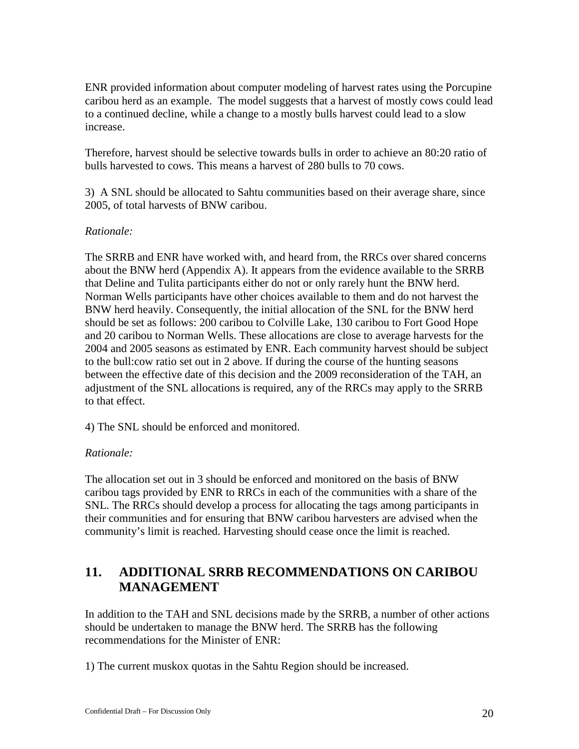ENR provided information about computer modeling of harvest rates using the Porcupine caribou herd as an example. The model suggests that a harvest of mostly cows could lead to a continued decline, while a change to a mostly bulls harvest could lead to a slow increase.

Therefore, harvest should be selective towards bulls in order to achieve an 80:20 ratio of bulls harvested to cows. This means a harvest of 280 bulls to 70 cows.

3) A SNL should be allocated to Sahtu communities based on their average share, since 2005, of total harvests of BNW caribou.

### *Rationale:*

The SRRB and ENR have worked with, and heard from, the RRCs over shared concerns about the BNW herd (Appendix A). It appears from the evidence available to the SRRB that Deline and Tulita participants either do not or only rarely hunt the BNW herd. Norman Wells participants have other choices available to them and do not harvest the BNW herd heavily. Consequently, the initial allocation of the SNL for the BNW herd should be set as follows: 200 caribou to Colville Lake, 130 caribou to Fort Good Hope and 20 caribou to Norman Wells. These allocations are close to average harvests for the 2004 and 2005 seasons as estimated by ENR. Each community harvest should be subject to the bull:cow ratio set out in 2 above. If during the course of the hunting seasons between the effective date of this decision and the 2009 reconsideration of the TAH, an adjustment of the SNL allocations is required, any of the RRCs may apply to the SRRB to that effect.

4) The SNL should be enforced and monitored.

### *Rationale:*

The allocation set out in 3 should be enforced and monitored on the basis of BNW caribou tags provided by ENR to RRCs in each of the communities with a share of the SNL. The RRCs should develop a process for allocating the tags among participants in their communities and for ensuring that BNW caribou harvesters are advised when the community's limit is reached. Harvesting should cease once the limit is reached.

## <span id="page-19-0"></span>**11. ADDITIONAL SRRB RECOMMENDATIONS ON CARIBOU MANAGEMENT**

In addition to the TAH and SNL decisions made by the SRRB, a number of other actions should be undertaken to manage the BNW herd. The SRRB has the following recommendations for the Minister of ENR:

1) The current muskox quotas in the Sahtu Region should be increased.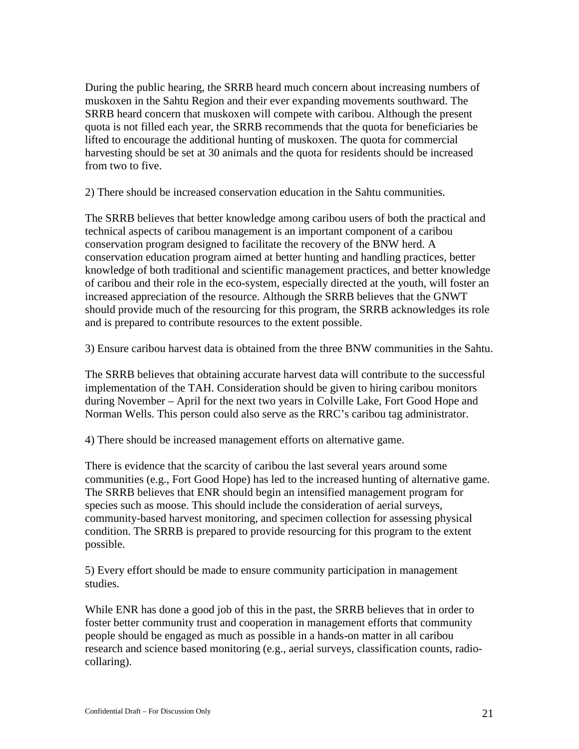During the public hearing, the SRRB heard much concern about increasing numbers of muskoxen in the Sahtu Region and their ever expanding movements southward. The SRRB heard concern that muskoxen will compete with caribou. Although the present quota is not filled each year, the SRRB recommends that the quota for beneficiaries be lifted to encourage the additional hunting of muskoxen. The quota for commercial harvesting should be set at 30 animals and the quota for residents should be increased from two to five.

2) There should be increased conservation education in the Sahtu communities.

The SRRB believes that better knowledge among caribou users of both the practical and technical aspects of caribou management is an important component of a caribou conservation program designed to facilitate the recovery of the BNW herd. A conservation education program aimed at better hunting and handling practices, better knowledge of both traditional and scientific management practices, and better knowledge of caribou and their role in the eco-system, especially directed at the youth, will foster an increased appreciation of the resource. Although the SRRB believes that the GNWT should provide much of the resourcing for this program, the SRRB acknowledges its role and is prepared to contribute resources to the extent possible.

3) Ensure caribou harvest data is obtained from the three BNW communities in the Sahtu.

The SRRB believes that obtaining accurate harvest data will contribute to the successful implementation of the TAH. Consideration should be given to hiring caribou monitors during November – April for the next two years in Colville Lake, Fort Good Hope and Norman Wells. This person could also serve as the RRC's caribou tag administrator.

4) There should be increased management efforts on alternative game.

There is evidence that the scarcity of caribou the last several years around some communities (e.g., Fort Good Hope) has led to the increased hunting of alternative game. The SRRB believes that ENR should begin an intensified management program for species such as moose. This should include the consideration of aerial surveys, community-based harvest monitoring, and specimen collection for assessing physical condition. The SRRB is prepared to provide resourcing for this program to the extent possible.

5) Every effort should be made to ensure community participation in management studies.

While ENR has done a good job of this in the past, the SRRB believes that in order to foster better community trust and cooperation in management efforts that community people should be engaged as much as possible in a hands-on matter in all caribou research and science based monitoring (e.g., aerial surveys, classification counts, radiocollaring).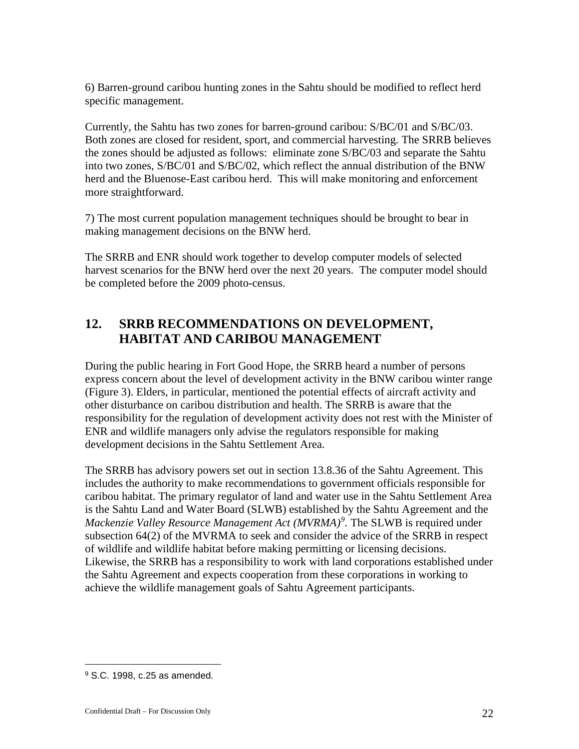6) Barren-ground caribou hunting zones in the Sahtu should be modified to reflect herd specific management.

Currently, the Sahtu has two zones for barren-ground caribou: S/BC/01 and S/BC/03. Both zones are closed for resident, sport, and commercial harvesting. The SRRB believes the zones should be adjusted as follows: eliminate zone S/BC/03 and separate the Sahtu into two zones, S/BC/01 and S/BC/02, which reflect the annual distribution of the BNW herd and the Bluenose-East caribou herd. This will make monitoring and enforcement more straightforward.

7) The most current population management techniques should be brought to bear in making management decisions on the BNW herd.

The SRRB and ENR should work together to develop computer models of selected harvest scenarios for the BNW herd over the next 20 years. The computer model should be completed before the 2009 photo-census.

## <span id="page-21-0"></span>**12. SRRB RECOMMENDATIONS ON DEVELOPMENT, HABITAT AND CARIBOU MANAGEMENT**

During the public hearing in Fort Good Hope, the SRRB heard a number of persons express concern about the level of development activity in the BNW caribou winter range (Figure 3). Elders, in particular, mentioned the potential effects of aircraft activity and other disturbance on caribou distribution and health. The SRRB is aware that the responsibility for the regulation of development activity does not rest with the Minister of ENR and wildlife managers only advise the regulators responsible for making development decisions in the Sahtu Settlement Area.

The SRRB has advisory powers set out in section 13.8.36 of the Sahtu Agreement. This includes the authority to make recommendations to government officials responsible for caribou habitat. The primary regulator of land and water use in the Sahtu Settlement Area is the Sahtu Land and Water Board (SLWB) established by the Sahtu Agreement and the *Mackenzie Valley Resource Management Act (MVRMA)[9](#page-21-1) .* The SLWB is required under subsection 64(2) of the MVRMA to seek and consider the advice of the SRRB in respect of wildlife and wildlife habitat before making permitting or licensing decisions. Likewise, the SRRB has a responsibility to work with land corporations established under the Sahtu Agreement and expects cooperation from these corporations in working to achieve the wildlife management goals of Sahtu Agreement participants.

 $\overline{a}$ 

<span id="page-21-1"></span><sup>9</sup> S.C. 1998, c.25 as amended.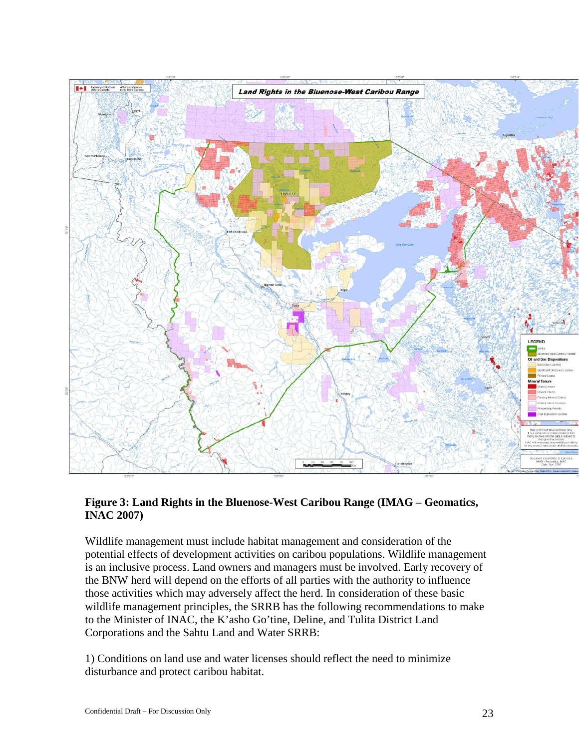

### <span id="page-22-0"></span>**Figure 3: Land Rights in the Bluenose-West Caribou Range (IMAG – Geomatics, INAC 2007)**

Wildlife management must include habitat management and consideration of the potential effects of development activities on caribou populations. Wildlife management is an inclusive process. Land owners and managers must be involved. Early recovery of the BNW herd will depend on the efforts of all parties with the authority to influence those activities which may adversely affect the herd. In consideration of these basic wildlife management principles, the SRRB has the following recommendations to make to the Minister of INAC, the K'asho Go'tine, Deline, and Tulita District Land Corporations and the Sahtu Land and Water SRRB:

1) Conditions on land use and water licenses should reflect the need to minimize disturbance and protect caribou habitat.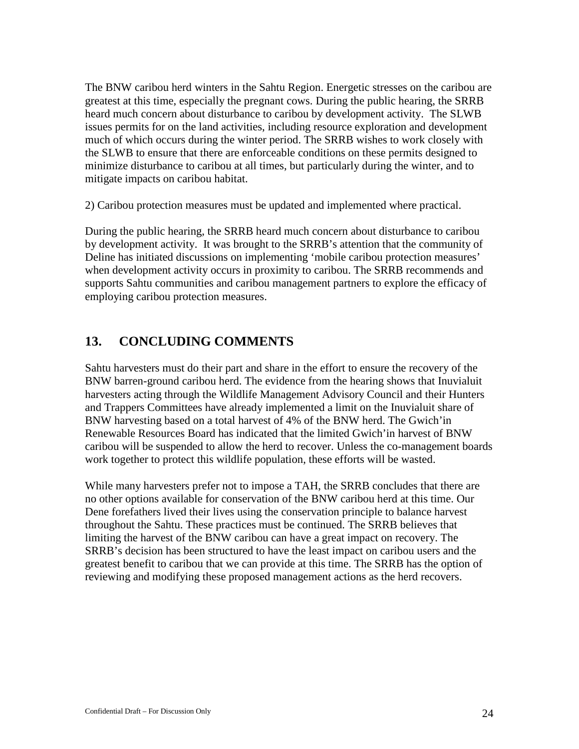The BNW caribou herd winters in the Sahtu Region. Energetic stresses on the caribou are greatest at this time, especially the pregnant cows. During the public hearing, the SRRB heard much concern about disturbance to caribou by development activity. The SLWB issues permits for on the land activities, including resource exploration and development much of which occurs during the winter period. The SRRB wishes to work closely with the SLWB to ensure that there are enforceable conditions on these permits designed to minimize disturbance to caribou at all times, but particularly during the winter, and to mitigate impacts on caribou habitat.

2) Caribou protection measures must be updated and implemented where practical.

During the public hearing, the SRRB heard much concern about disturbance to caribou by development activity. It was brought to the SRRB's attention that the community of Deline has initiated discussions on implementing 'mobile caribou protection measures' when development activity occurs in proximity to caribou. The SRRB recommends and supports Sahtu communities and caribou management partners to explore the efficacy of employing caribou protection measures.

## <span id="page-23-0"></span>**13. CONCLUDING COMMENTS**

Sahtu harvesters must do their part and share in the effort to ensure the recovery of the BNW barren-ground caribou herd. The evidence from the hearing shows that Inuvialuit harvesters acting through the Wildlife Management Advisory Council and their Hunters and Trappers Committees have already implemented a limit on the Inuvialuit share of BNW harvesting based on a total harvest of 4% of the BNW herd. The Gwich'in Renewable Resources Board has indicated that the limited Gwich'in harvest of BNW caribou will be suspended to allow the herd to recover. Unless the co-management boards work together to protect this wildlife population, these efforts will be wasted.

While many harvesters prefer not to impose a TAH, the SRRB concludes that there are no other options available for conservation of the BNW caribou herd at this time. Our Dene forefathers lived their lives using the conservation principle to balance harvest throughout the Sahtu. These practices must be continued. The SRRB believes that limiting the harvest of the BNW caribou can have a great impact on recovery. The SRRB's decision has been structured to have the least impact on caribou users and the greatest benefit to caribou that we can provide at this time. The SRRB has the option of reviewing and modifying these proposed management actions as the herd recovers.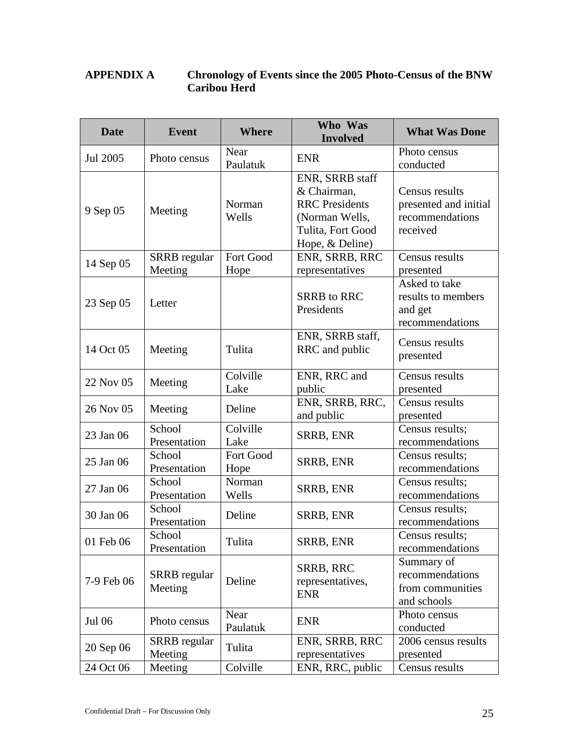### <span id="page-24-0"></span>**APPENDIX A Chronology of Events since the 2005 Photo-Census of the BNW Caribou Herd**

| <b>Date</b> | <b>Event</b>                   | <b>Where</b>      | Who Was<br><b>Involved</b>                                                                                        | <b>What Was Done</b>                                                   |
|-------------|--------------------------------|-------------------|-------------------------------------------------------------------------------------------------------------------|------------------------------------------------------------------------|
| Jul 2005    | Photo census                   | Near<br>Paulatuk  | <b>ENR</b>                                                                                                        | Photo census<br>conducted                                              |
| 9 Sep 05    | Meeting                        | Norman<br>Wells   | ENR, SRRB staff<br>& Chairman,<br><b>RRC</b> Presidents<br>(Norman Wells,<br>Tulita, Fort Good<br>Hope, & Deline) | Census results<br>presented and initial<br>recommendations<br>received |
| 14 Sep 05   | <b>SRRB</b> regular<br>Meeting | Fort Good<br>Hope | ENR, SRRB, RRC<br>representatives                                                                                 | Census results<br>presented                                            |
| 23 Sep 05   | Letter                         |                   | <b>SRRB</b> to RRC<br>Presidents                                                                                  | Asked to take<br>results to members<br>and get<br>recommendations      |
| 14 Oct 05   | Meeting                        | Tulita            | ENR, SRRB staff,<br>RRC and public                                                                                | Census results<br>presented                                            |
| 22 Nov 05   | Meeting                        | Colville<br>Lake  | ENR, RRC and<br>public                                                                                            | Census results<br>presented                                            |
| 26 Nov 05   | Meeting                        | Deline            | ENR, SRRB, RRC,<br>and public                                                                                     | Census results<br>presented                                            |
| 23 Jan 06   | School<br>Presentation         | Colville<br>Lake  | <b>SRRB, ENR</b>                                                                                                  | Census results;<br>recommendations                                     |
| 25 Jan 06   | School<br>Presentation         | Fort Good<br>Hope | SRRB, ENR                                                                                                         | Census results;<br>recommendations                                     |
| 27 Jan 06   | School<br>Presentation         | Norman<br>Wells   | SRRB, ENR                                                                                                         | Census results;<br>recommendations                                     |
| 30 Jan 06   | School<br>Presentation         | Deline            | <b>SRRB, ENR</b>                                                                                                  | Census results;<br>recommendations                                     |
| 01 Feb 06   | School<br>Presentation         | Tulita            | SRRB, ENR                                                                                                         | Census results;<br>recommendations                                     |
| 7-9 Feb 06  | SRRB regular<br>Meeting        | Deline            | SRRB, RRC<br>representatives,<br><b>ENR</b>                                                                       | Summary of<br>recommendations<br>from communities<br>and schools       |
| Jul 06      | Photo census                   | Near<br>Paulatuk  | <b>ENR</b>                                                                                                        | Photo census<br>conducted                                              |
| 20 Sep 06   | <b>SRRB</b> regular<br>Meeting | Tulita            | ENR, SRRB, RRC<br>representatives                                                                                 | 2006 census results<br>presented                                       |
| 24 Oct 06   | Meeting                        |                   | ENR, RRC, public                                                                                                  | Census results                                                         |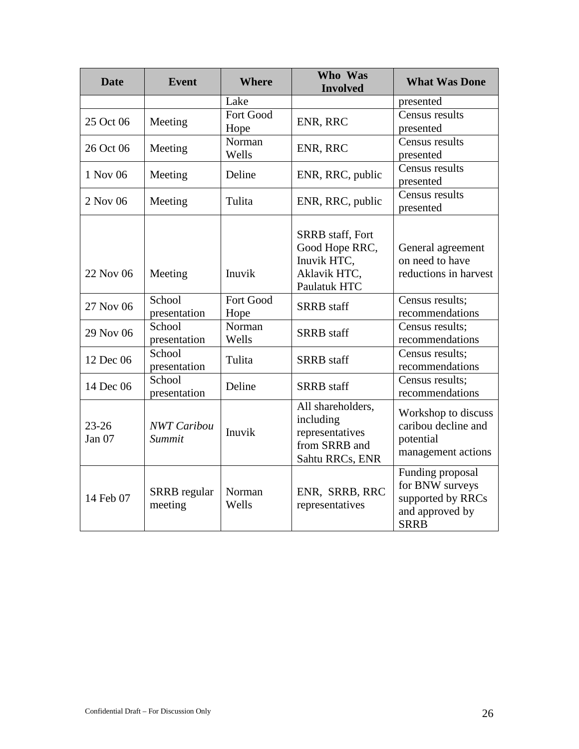| <b>Date</b>         | <b>Event</b>                   | <b>Where</b>      | Who Was<br><b>Involved</b>                                                               | <b>What Was Done</b>                                                                       |
|---------------------|--------------------------------|-------------------|------------------------------------------------------------------------------------------|--------------------------------------------------------------------------------------------|
|                     |                                | Lake              |                                                                                          | presented                                                                                  |
| 25 Oct 06           | Meeting                        | Fort Good<br>Hope | ENR, RRC                                                                                 | Census results<br>presented                                                                |
| 26 Oct 06           | Meeting                        | Norman<br>Wells   | ENR, RRC                                                                                 | Census results<br>presented                                                                |
| 1 Nov 06            | Meeting                        | Deline            | ENR, RRC, public                                                                         | Census results<br>presented                                                                |
| 2 Nov 06            | Meeting                        | Tulita            | ENR, RRC, public                                                                         | Census results<br>presented                                                                |
| 22 Nov 06           | Meeting                        | Inuvik            | <b>SRRB</b> staff, Fort<br>Good Hope RRC,<br>Inuvik HTC,<br>Aklavik HTC,<br>Paulatuk HTC | General agreement<br>on need to have<br>reductions in harvest                              |
| 27 Nov 06           | School<br>presentation         | Fort Good<br>Hope | <b>SRRB</b> staff                                                                        | Census results;<br>recommendations                                                         |
| 29 Nov 06           | School<br>presentation         | Norman<br>Wells   | <b>SRRB</b> staff                                                                        | Census results;<br>recommendations                                                         |
| 12 Dec 06           | School<br>presentation         | Tulita            | <b>SRRB</b> staff                                                                        | Census results;<br>recommendations                                                         |
| 14 Dec 06           | School<br>presentation         | Deline            | <b>SRRB</b> staff                                                                        | Census results;<br>recommendations                                                         |
| $23 - 26$<br>Jan 07 | <b>NWT</b> Caribou<br>Summit   | Inuvik            | All shareholders,<br>including<br>representatives<br>from SRRB and<br>Sahtu RRCs, ENR    | Workshop to discuss<br>caribou decline and<br>potential<br>management actions              |
| 14 Feb 07           | <b>SRRB</b> regular<br>meeting | Norman<br>Wells   | ENR, SRRB, RRC<br>representatives                                                        | Funding proposal<br>for BNW surveys<br>supported by RRCs<br>and approved by<br><b>SRRB</b> |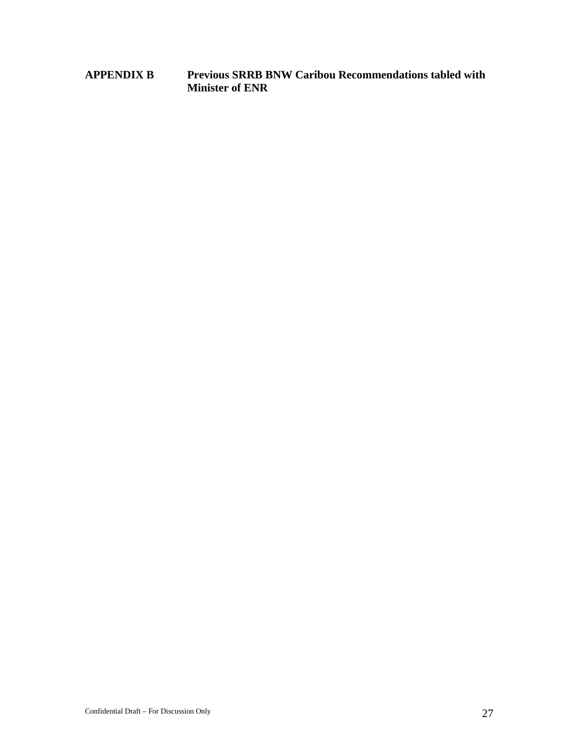<span id="page-26-0"></span>**APPENDIX B Previous SRRB BNW Caribou Recommendations tabled with Minister of ENR**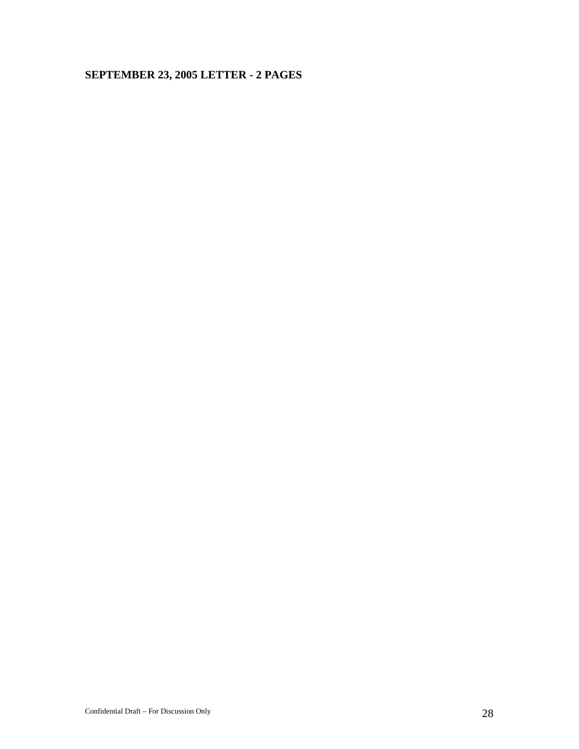### **SEPTEMBER 23, 2005 LETTER - 2 PAGES**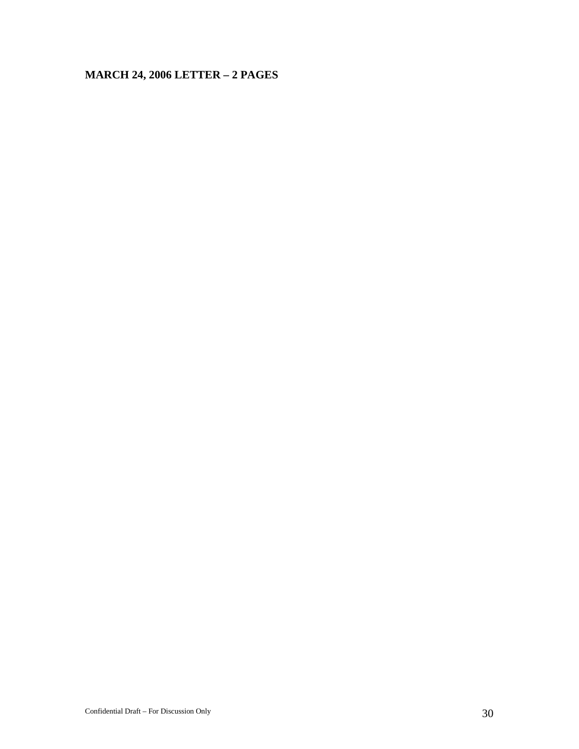# **MARCH 24, 2006 LETTER – 2 PAGES**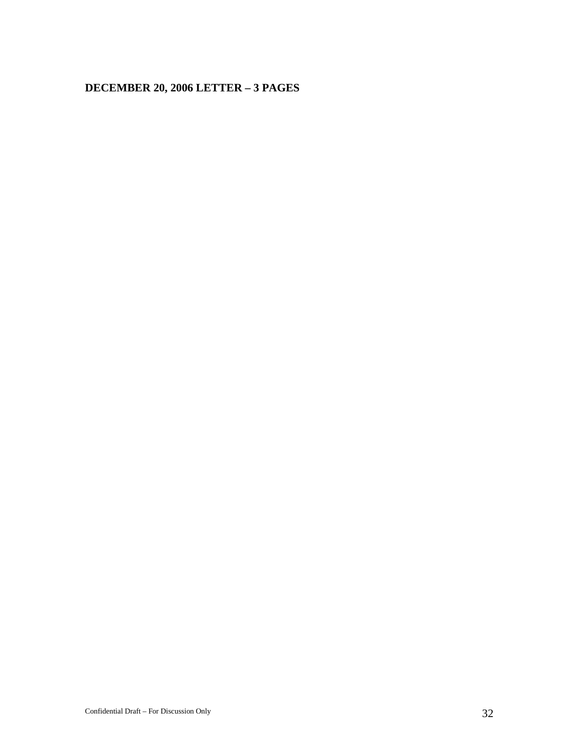### **DECEMBER 20, 2006 LETTER – 3 PAGES**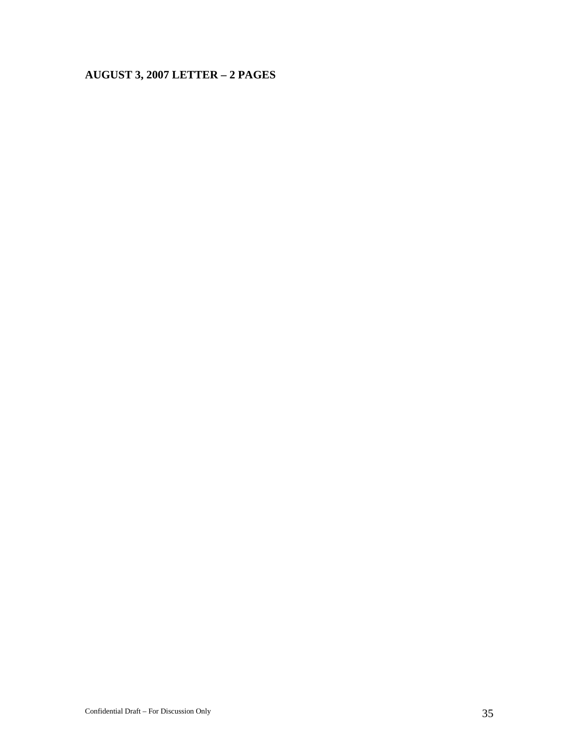### **AUGUST 3, 2007 LETTER – 2 PAGES**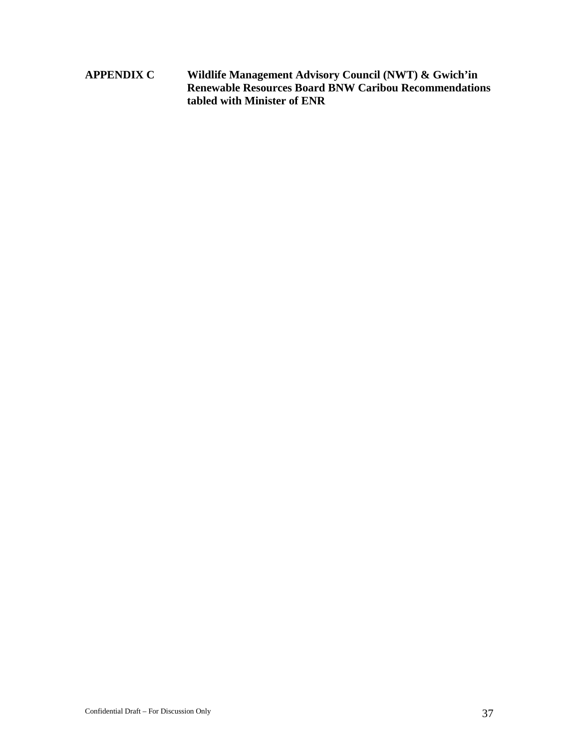<span id="page-36-0"></span>**APPENDIX C Wildlife Management Advisory Council (NWT) & Gwich'in Renewable Resources Board BNW Caribou Recommendations tabled with Minister of ENR**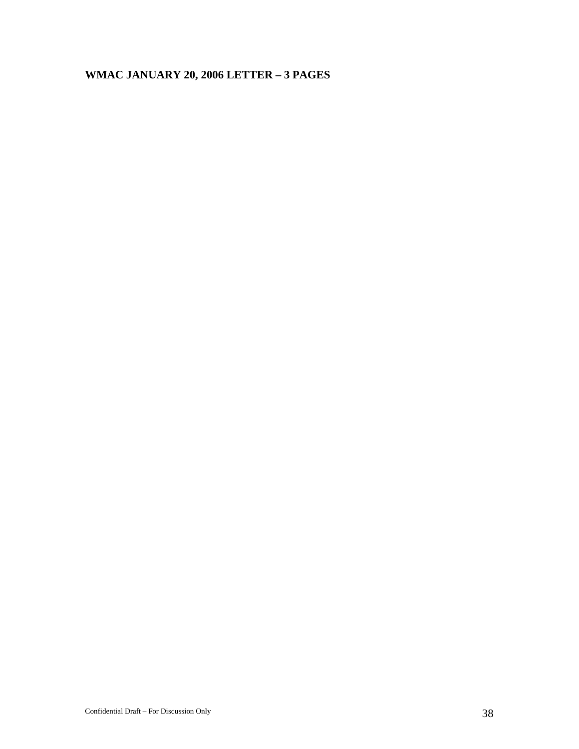# **WMAC JANUARY 20, 2006 LETTER – 3 PAGES**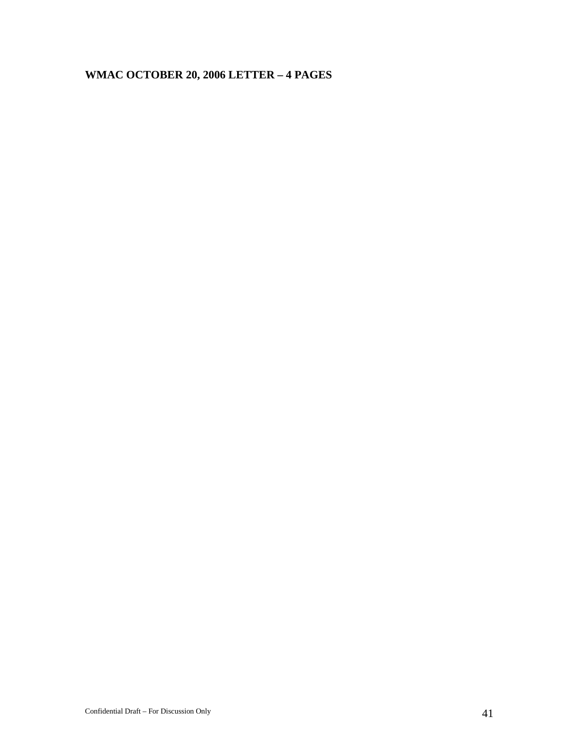# **WMAC OCTOBER 20, 2006 LETTER – 4 PAGES**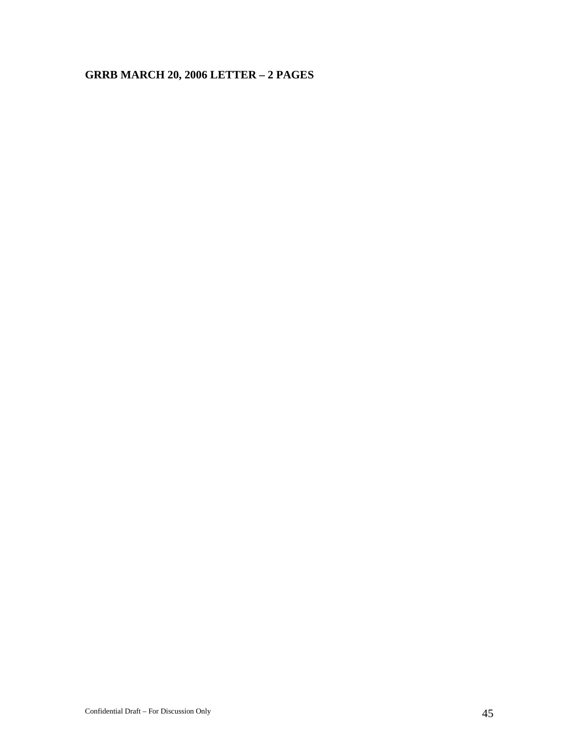# **GRRB MARCH 20, 2006 LETTER – 2 PAGES**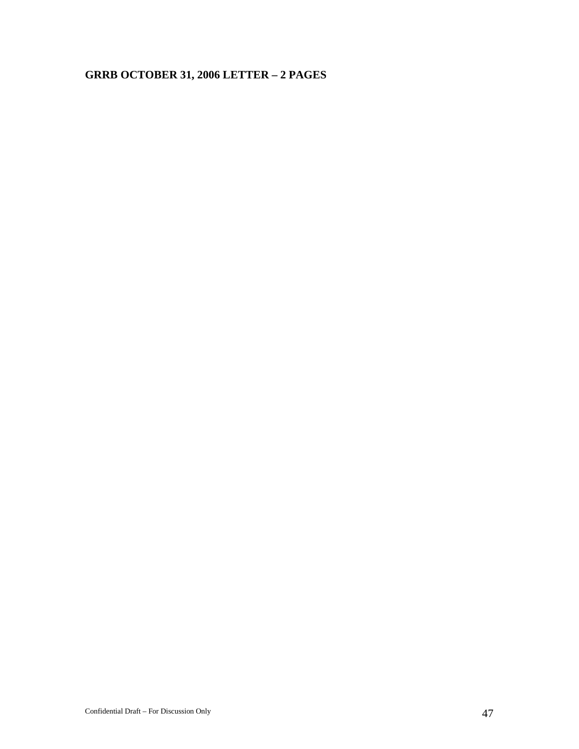# **GRRB OCTOBER 31, 2006 LETTER – 2 PAGES**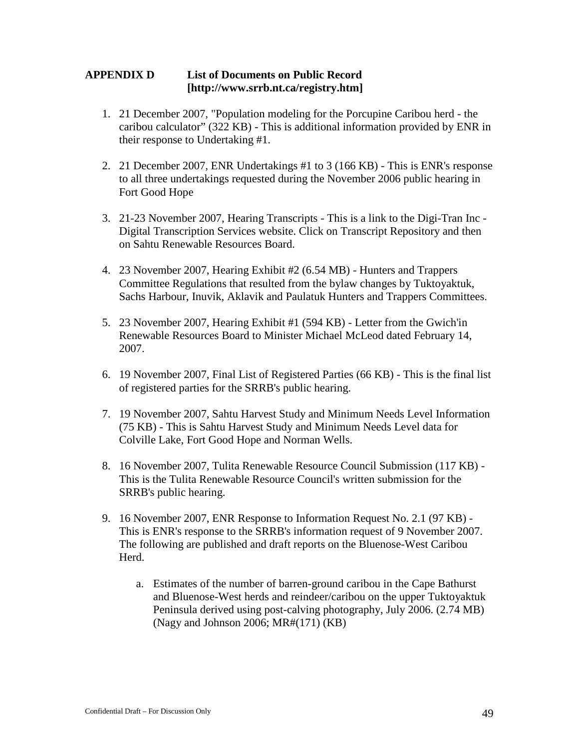#### <span id="page-48-0"></span>**APPENDIX D List of Documents on Public Record [http://www.srrb.nt.ca/registry.htm]**

- 1. 21 December 2007, "Population modeling for the Porcupine Caribou herd the caribou calculator" (322 KB) - This is additional information provided by ENR in their response to Undertaking #1.
- 2. 21 December 2007, ENR Undertakings #1 to 3 (166 KB) This is ENR's response to all three undertakings requested during the November 2006 public hearing in Fort Good Hope
- 3. 21-23 November 2007, Hearing Transcripts This is a link to the Digi-Tran Inc Digital Transcription Services website. Click on Transcript Repository and then on Sahtu Renewable Resources Board.
- 4. 23 November 2007, Hearing Exhibit #2 (6.54 MB) Hunters and Trappers Committee Regulations that resulted from the bylaw changes by Tuktoyaktuk, Sachs Harbour, Inuvik, Aklavik and Paulatuk Hunters and Trappers Committees.
- 5. 23 November 2007, Hearing Exhibit #1 (594 KB) Letter from the Gwich'in Renewable Resources Board to Minister Michael McLeod dated February 14, 2007.
- 6. 19 November 2007, Final List of Registered Parties (66 KB) This is the final list of registered parties for the SRRB's public hearing.
- 7. 19 November 2007, Sahtu Harvest Study and Minimum Needs Level Information (75 KB) - This is Sahtu Harvest Study and Minimum Needs Level data for Colville Lake, Fort Good Hope and Norman Wells.
- 8. 16 November 2007, Tulita Renewable Resource Council Submission (117 KB) This is the Tulita Renewable Resource Council's written submission for the SRRB's public hearing.
- 9. 16 November 2007, ENR Response to Information Request No. 2.1 (97 KB) This is ENR's response to the SRRB's information request of 9 November 2007. The following are published and draft reports on the Bluenose-West Caribou Herd.
	- a. Estimates of the number of barren-ground caribou in the Cape Bathurst and Bluenose-West herds and reindeer/caribou on the upper Tuktoyaktuk Peninsula derived using post-calving photography, July 2006. (2.74 MB) (Nagy and Johnson 2006; MR#(171) (KB)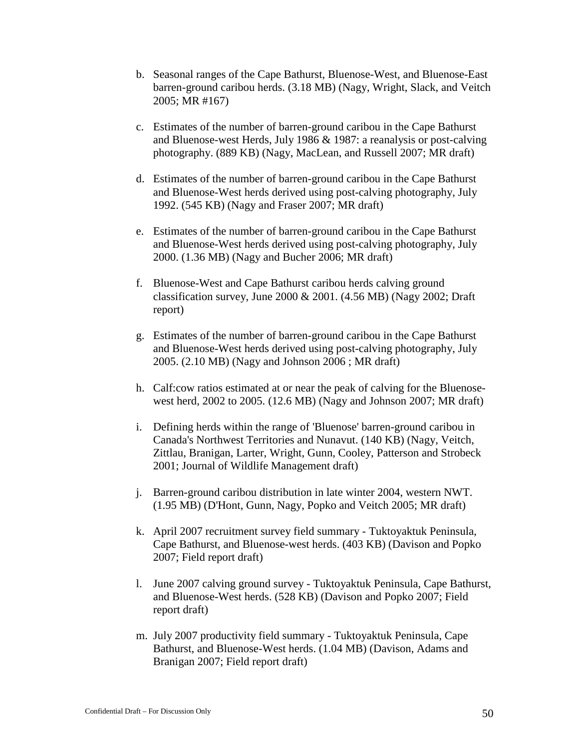- b. Seasonal ranges of the Cape Bathurst, Bluenose-West, and Bluenose-East barren-ground caribou herds. (3.18 MB) (Nagy, Wright, Slack, and Veitch 2005; MR #167)
- c. Estimates of the number of barren-ground caribou in the Cape Bathurst and Bluenose-west Herds, July 1986 & 1987: a reanalysis or post-calving photography. (889 KB) (Nagy, MacLean, and Russell 2007; MR draft)
- d. Estimates of the number of barren-ground caribou in the Cape Bathurst and Bluenose-West herds derived using post-calving photography, July 1992. (545 KB) (Nagy and Fraser 2007; MR draft)
- e. Estimates of the number of barren-ground caribou in the Cape Bathurst and Bluenose-West herds derived using post-calving photography, July 2000. (1.36 MB) (Nagy and Bucher 2006; MR draft)
- f. Bluenose-West and Cape Bathurst caribou herds calving ground classification survey, June 2000 & 2001. (4.56 MB) (Nagy 2002; Draft report)
- g. Estimates of the number of barren-ground caribou in the Cape Bathurst and Bluenose-West herds derived using post-calving photography, July 2005. (2.10 MB) (Nagy and Johnson 2006 ; MR draft)
- h. Calf:cow ratios estimated at or near the peak of calving for the Bluenosewest herd, 2002 to 2005. (12.6 MB) (Nagy and Johnson 2007; MR draft)
- i. Defining herds within the range of 'Bluenose' barren-ground caribou in Canada's Northwest Territories and Nunavut. (140 KB) (Nagy, Veitch, Zittlau, Branigan, Larter, Wright, Gunn, Cooley, Patterson and Strobeck 2001; Journal of Wildlife Management draft)
- j. Barren-ground caribou distribution in late winter 2004, western NWT. (1.95 MB) (D'Hont, Gunn, Nagy, Popko and Veitch 2005; MR draft)
- k. April 2007 recruitment survey field summary Tuktoyaktuk Peninsula, Cape Bathurst, and Bluenose-west herds. (403 KB) (Davison and Popko 2007; Field report draft)
- l. June 2007 calving ground survey Tuktoyaktuk Peninsula, Cape Bathurst, and Bluenose-West herds. (528 KB) (Davison and Popko 2007; Field report draft)
- m. July 2007 productivity field summary Tuktoyaktuk Peninsula, Cape Bathurst, and Bluenose-West herds. (1.04 MB) (Davison, Adams and Branigan 2007; Field report draft)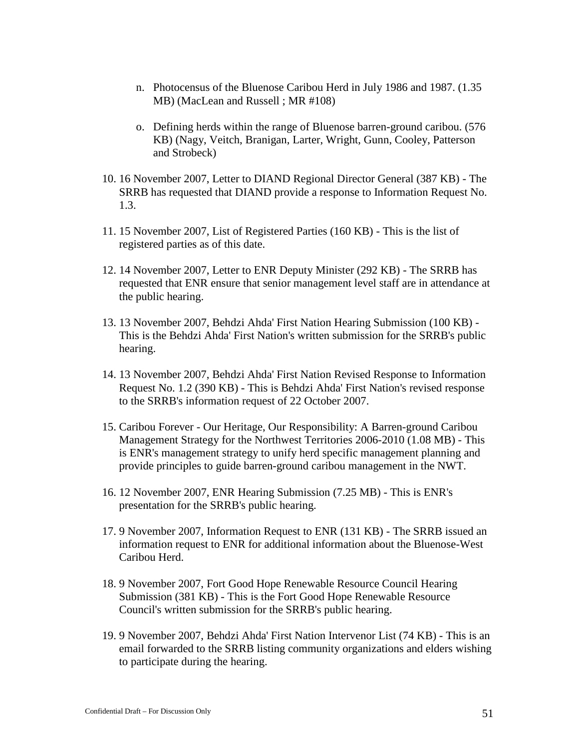- n. Photocensus of the Bluenose Caribou Herd in July 1986 and 1987. (1.35 MB) (MacLean and Russell ; MR #108)
- o. Defining herds within the range of Bluenose barren-ground caribou. (576 KB) (Nagy, Veitch, Branigan, Larter, Wright, Gunn, Cooley, Patterson and Strobeck)
- 10. 16 November 2007, Letter to DIAND Regional Director General (387 KB) The SRRB has requested that DIAND provide a response to Information Request No. 1.3.
- 11. 15 November 2007, List of Registered Parties (160 KB) This is the list of registered parties as of this date.
- 12. 14 November 2007, Letter to ENR Deputy Minister (292 KB) The SRRB has requested that ENR ensure that senior management level staff are in attendance at the public hearing.
- 13. 13 November 2007, Behdzi Ahda' First Nation Hearing Submission (100 KB) This is the Behdzi Ahda' First Nation's written submission for the SRRB's public hearing.
- 14. 13 November 2007, Behdzi Ahda' First Nation Revised Response to Information Request No. 1.2 (390 KB) - This is Behdzi Ahda' First Nation's revised response to the SRRB's information request of 22 October 2007.
- 15. Caribou Forever Our Heritage, Our Responsibility: A Barren-ground Caribou Management Strategy for the Northwest Territories 2006-2010 (1.08 MB) - This is ENR's management strategy to unify herd specific management planning and provide principles to guide barren-ground caribou management in the NWT.
- 16. 12 November 2007, ENR Hearing Submission (7.25 MB) This is ENR's presentation for the SRRB's public hearing.
- 17. 9 November 2007, Information Request to ENR (131 KB) The SRRB issued an information request to ENR for additional information about the Bluenose-West Caribou Herd.
- 18. 9 November 2007, Fort Good Hope Renewable Resource Council Hearing Submission (381 KB) - This is the Fort Good Hope Renewable Resource Council's written submission for the SRRB's public hearing.
- 19. 9 November 2007, Behdzi Ahda' First Nation Intervenor List (74 KB) This is an email forwarded to the SRRB listing community organizations and elders wishing to participate during the hearing.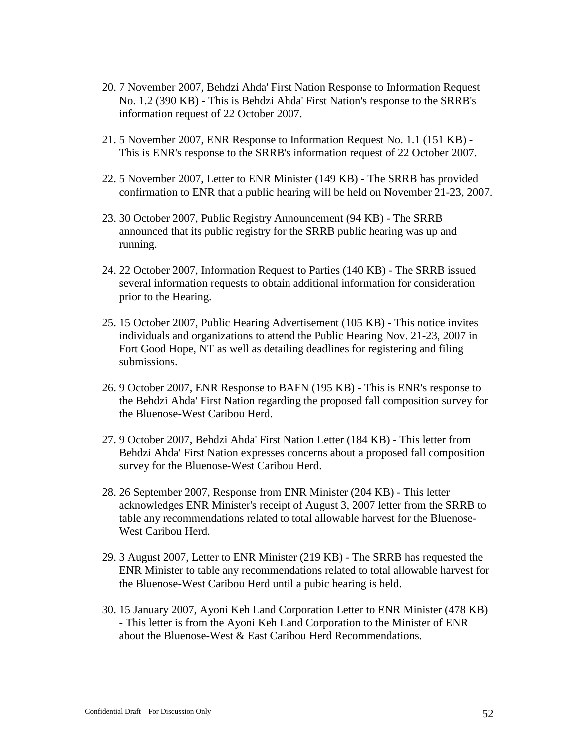- 20. 7 November 2007, Behdzi Ahda' First Nation Response to Information Request No. 1.2 (390 KB) - This is Behdzi Ahda' First Nation's response to the SRRB's information request of 22 October 2007.
- 21. 5 November 2007, ENR Response to Information Request No. 1.1 (151 KB) This is ENR's response to the SRRB's information request of 22 October 2007.
- 22. 5 November 2007, Letter to ENR Minister (149 KB) The SRRB has provided confirmation to ENR that a public hearing will be held on November 21-23, 2007.
- 23. 30 October 2007, Public Registry Announcement (94 KB) The SRRB announced that its public registry for the SRRB public hearing was up and running.
- 24. 22 October 2007, Information Request to Parties (140 KB) The SRRB issued several information requests to obtain additional information for consideration prior to the Hearing.
- 25. 15 October 2007, Public Hearing Advertisement (105 KB) This notice invites individuals and organizations to attend the Public Hearing Nov. 21-23, 2007 in Fort Good Hope, NT as well as detailing deadlines for registering and filing submissions.
- 26. 9 October 2007, ENR Response to BAFN (195 KB) This is ENR's response to the Behdzi Ahda' First Nation regarding the proposed fall composition survey for the Bluenose-West Caribou Herd.
- 27. 9 October 2007, Behdzi Ahda' First Nation Letter (184 KB) This letter from Behdzi Ahda' First Nation expresses concerns about a proposed fall composition survey for the Bluenose-West Caribou Herd.
- 28. 26 September 2007, Response from ENR Minister (204 KB) This letter acknowledges ENR Minister's receipt of August 3, 2007 letter from the SRRB to table any recommendations related to total allowable harvest for the Bluenose-West Caribou Herd.
- 29. 3 August 2007, Letter to ENR Minister (219 KB) The SRRB has requested the ENR Minister to table any recommendations related to total allowable harvest for the Bluenose-West Caribou Herd until a pubic hearing is held.
- 30. 15 January 2007, Ayoni Keh Land Corporation Letter to ENR Minister (478 KB) - This letter is from the Ayoni Keh Land Corporation to the Minister of ENR about the Bluenose-West & East Caribou Herd Recommendations.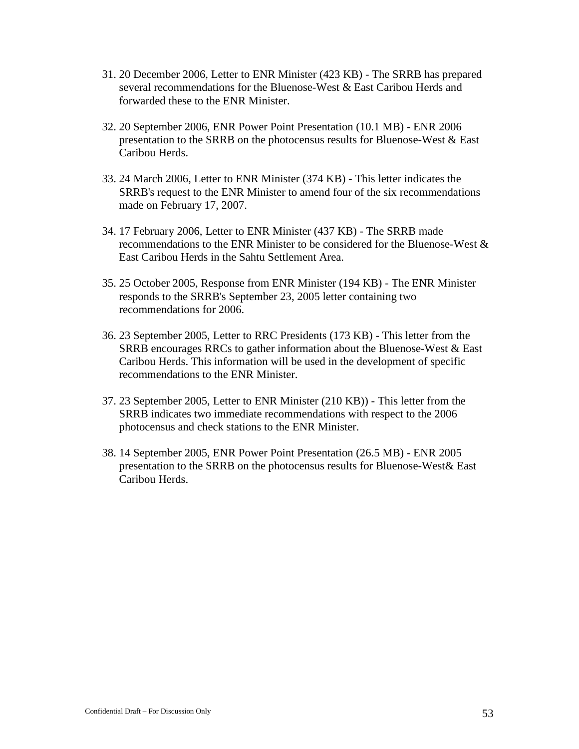- 31. 20 December 2006, Letter to ENR Minister (423 KB) The SRRB has prepared several recommendations for the Bluenose-West & East Caribou Herds and forwarded these to the ENR Minister.
- 32. 20 September 2006, ENR Power Point Presentation (10.1 MB) ENR 2006 presentation to the SRRB on the photocensus results for Bluenose-West & East Caribou Herds.
- 33. 24 March 2006, Letter to ENR Minister (374 KB) This letter indicates the SRRB's request to the ENR Minister to amend four of the six recommendations made on February 17, 2007.
- 34. 17 February 2006, Letter to ENR Minister (437 KB) The SRRB made recommendations to the ENR Minister to be considered for the Bluenose-West & East Caribou Herds in the Sahtu Settlement Area.
- 35. 25 October 2005, Response from ENR Minister (194 KB) The ENR Minister responds to the SRRB's September 23, 2005 letter containing two recommendations for 2006.
- 36. 23 September 2005, Letter to RRC Presidents (173 KB) This letter from the SRRB encourages RRCs to gather information about the Bluenose-West  $& East$ Caribou Herds. This information will be used in the development of specific recommendations to the ENR Minister.
- 37. 23 September 2005, Letter to ENR Minister (210 KB)) This letter from the SRRB indicates two immediate recommendations with respect to the 2006 photocensus and check stations to the ENR Minister.
- 38. 14 September 2005, ENR Power Point Presentation (26.5 MB) ENR 2005 presentation to the SRRB on the photocensus results for Bluenose-West& East Caribou Herds.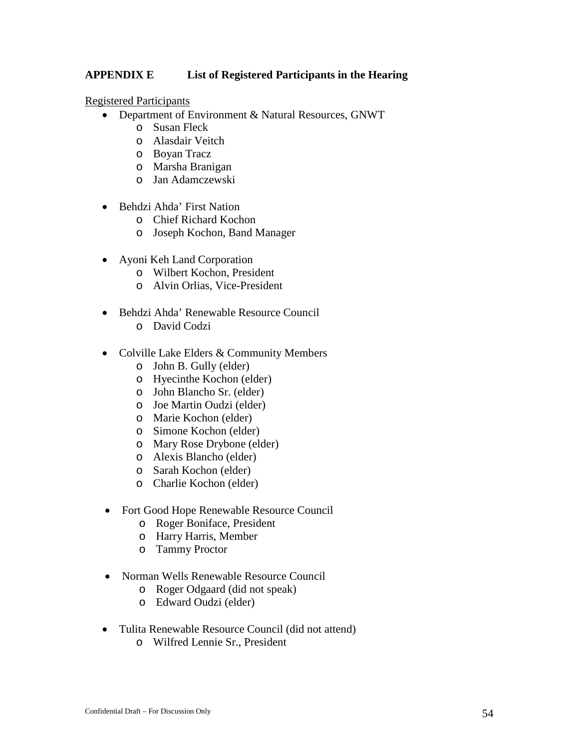#### <span id="page-53-0"></span>**APPENDIX E List of Registered Participants in the Hearing**

#### Registered Participants

- Department of Environment & Natural Resources, GNWT
	- o Susan Fleck
	- o Alasdair Veitch
	- o Boyan Tracz
	- o Marsha Branigan
	- o Jan Adamczewski
- Behdzi Ahda' First Nation
	- o Chief Richard Kochon
	- o Joseph Kochon, Band Manager
- Ayoni Keh Land Corporation
	- o Wilbert Kochon, President
	- o Alvin Orlias, Vice-President
- Behdzi Ahda' Renewable Resource Council
	- o David Codzi
- Colville Lake Elders & Community Members
	- o John B. Gully (elder)
	- o Hyecinthe Kochon (elder)
	- o John Blancho Sr. (elder)
	- o Joe Martin Oudzi (elder)
	- o Marie Kochon (elder)
	- o Simone Kochon (elder)
	- o Mary Rose Drybone (elder)
	- o Alexis Blancho (elder)
	- o Sarah Kochon (elder)
	- o Charlie Kochon (elder)
- Fort Good Hope Renewable Resource Council
	- o Roger Boniface, President
	- o Harry Harris, Member
	- o Tammy Proctor
- Norman Wells Renewable Resource Council
	- o Roger Odgaard (did not speak)
	- o Edward Oudzi (elder)
- Tulita Renewable Resource Council (did not attend)
	- o Wilfred Lennie Sr., President